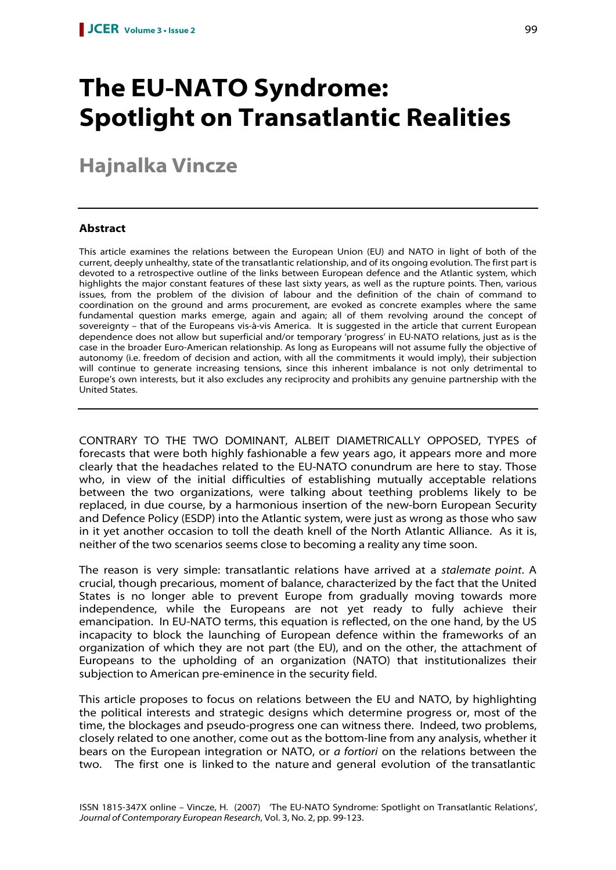# **The EU-NATO Syndrome: Spotlight on Transatlantic Realities**

# **Hajnalka Vincze**

# **Abstract**

This article examines the relations between the European Union (EU) and NATO in light of both of the current, deeply unhealthy, state of the transatlantic relationship, and of its ongoing evolution. The first part is devoted to a retrospective outline of the links between European defence and the Atlantic system, which highlights the major constant features of these last sixty years, as well as the rupture points. Then, various issues, from the problem of the division of labour and the definition of the chain of command to coordination on the ground and arms procurement, are evoked as concrete examples where the same fundamental question marks emerge, again and again; all of them revolving around the concept of sovereignty – that of the Europeans vis-à-vis America. It is suggested in the article that current European dependence does not allow but superficial and/or temporary 'progress' in EU-NATO relations, just as is the case in the broader Euro-American relationship. As long as Europeans will not assume fully the objective of autonomy (i.e. freedom of decision and action, with all the commitments it would imply), their subjection will continue to generate increasing tensions, since this inherent imbalance is not only detrimental to Europe's own interests, but it also excludes any reciprocity and prohibits any genuine partnership with the United States.

CONTRARY TO THE TWO DOMINANT, ALBEIT DIAMETRICALLY OPPOSED, TYPES of forecasts that were both highly fashionable a few years ago, it appears more and more clearly that the headaches related to the EU-NATO conundrum are here to stay. Those who, in view of the initial difficulties of establishing mutually acceptable relations between the two organizations, were talking about teething problems likely to be replaced, in due course, by a harmonious insertion of the new-born European Security and Defence Policy (ESDP) into the Atlantic system, were just as wrong as those who saw in it yet another occasion to toll the death knell of the North Atlantic Alliance. As it is, neither of the two scenarios seems close to becoming a reality any time soon.

The reason is very simple: transatlantic relations have arrived at a stalemate point. A crucial, though precarious, moment of balance, characterized by the fact that the United States is no longer able to prevent Europe from gradually moving towards more independence, while the Europeans are not yet ready to fully achieve their emancipation. In EU-NATO terms, this equation is reflected, on the one hand, by the US incapacity to block the launching of European defence within the frameworks of an organization of which they are not part (the EU), and on the other, the attachment of Europeans to the upholding of an organization (NATO) that institutionalizes their subjection to American pre-eminence in the security field.

This article proposes to focus on relations between the EU and NATO, by highlighting the political interests and strategic designs which determine progress or, most of the time, the blockages and pseudo-progress one can witness there. Indeed, two problems, closely related to one another, come out as the bottom-line from any analysis, whether it bears on the European integration or NATO, or a fortiori on the relations between the two. The first one is linked to the nature and general evolution of the transatlantic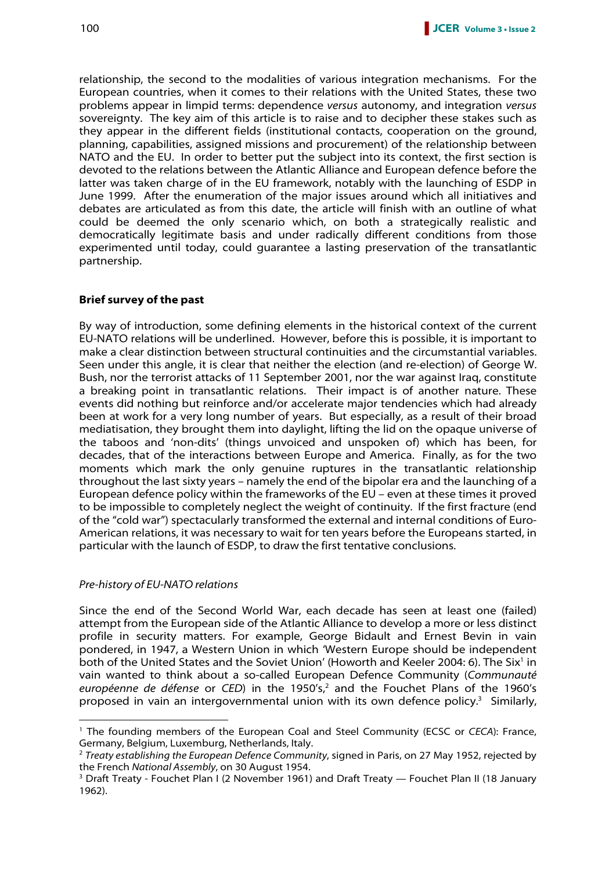relationship, the second to the modalities of various integration mechanisms. For the European countries, when it comes to their relations with the United States, these two problems appear in limpid terms: dependence versus autonomy, and integration versus sovereignty. The key aim of this article is to raise and to decipher these stakes such as they appear in the different fields (institutional contacts, cooperation on the ground, planning, capabilities, assigned missions and procurement) of the relationship between NATO and the EU. In order to better put the subject into its context, the first section is devoted to the relations between the Atlantic Alliance and European defence before the latter was taken charge of in the EU framework, notably with the launching of ESDP in June 1999. After the enumeration of the major issues around which all initiatives and debates are articulated as from this date, the article will finish with an outline of what could be deemed the only scenario which, on both a strategically realistic and democratically legitimate basis and under radically different conditions from those experimented until today, could guarantee a lasting preservation of the transatlantic partnership.

# **Brief survey of the past**

By way of introduction, some defining elements in the historical context of the current EU-NATO relations will be underlined. However, before this is possible, it is important to make a clear distinction between structural continuities and the circumstantial variables. Seen under this angle, it is clear that neither the election (and re-election) of George W. Bush, nor the terrorist attacks of 11 September 2001, nor the war against Iraq, constitute a breaking point in transatlantic relations. Their impact is of another nature. These events did nothing but reinforce and/or accelerate major tendencies which had already been at work for a very long number of years. But especially, as a result of their broad mediatisation, they brought them into daylight, lifting the lid on the opaque universe of the taboos and 'non-dits' (things unvoiced and unspoken of) which has been, for decades, that of the interactions between Europe and America. Finally, as for the two moments which mark the only genuine ruptures in the transatlantic relationship throughout the last sixty years – namely the end of the bipolar era and the launching of a European defence policy within the frameworks of the EU – even at these times it proved to be impossible to completely neglect the weight of continuity. If the first fracture (end of the "cold war") spectacularly transformed the external and internal conditions of Euro-American relations, it was necessary to wait for ten years before the Europeans started, in particular with the launch of ESDP, to draw the first tentative conclusions.

#### Pre-history of EU-NATO relations

 $\overline{a}$ 

Since the end of the Second World War, each decade has seen at least one (failed) attempt from the European side of the Atlantic Alliance to develop a more or less distinct profile in security matters. For example, George Bidault and Ernest Bevin in vain pondered, in 1947, a Western Union in which 'Western Europe should be independent both of the United States and the Soviet Union' (Howorth and Keeler 2004: 6). The Six<sup>1</sup> in vain wanted to think about a so-called European Defence Community (Communauté européenne de défense or CED) in the 1950's,<sup>2</sup> and the Fouchet Plans of the 1960's proposed in vain an intergovernmental union with its own defence policy.<sup>3</sup> Similarly,

<sup>&</sup>lt;sup>1</sup> The founding members of the European Coal and Steel Community (ECSC or CECA): France, Germany, Belgium, Luxemburg, Netherlands, Italy.

 $2$  Treaty establishing the European Defence Community, signed in Paris, on 27 May 1952, rejected by the French National Assembly, on 30 August 1954.

<sup>&</sup>lt;sup>3</sup> Draft Treaty - Fouchet Plan I (2 November 1961) and Draft Treaty — Fouchet Plan II (18 January 1962).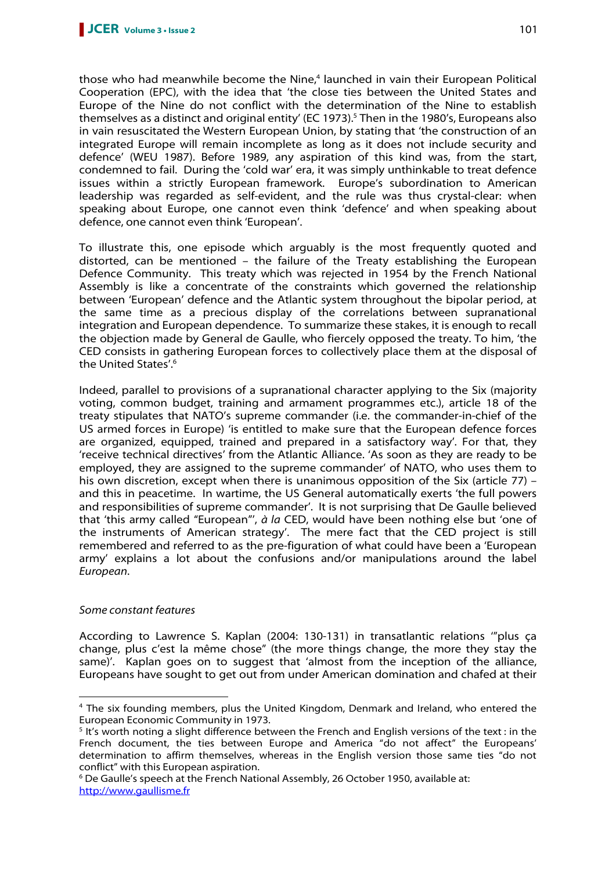those who had meanwhile become the Nine,<sup>4</sup> launched in vain their European Political Cooperation (EPC), with the idea that 'the close ties between the United States and Europe of the Nine do not conflict with the determination of the Nine to establish themselves as a distinct and original entity' (EC 1973).<sup>5</sup> Then in the 1980's, Europeans also in vain resuscitated the Western European Union, by stating that 'the construction of an integrated Europe will remain incomplete as long as it does not include security and defence' (WEU 1987). Before 1989, any aspiration of this kind was, from the start, condemned to fail. During the 'cold war' era, it was simply unthinkable to treat defence issues within a strictly European framework. Europe's subordination to American leadership was regarded as self-evident, and the rule was thus crystal-clear: when speaking about Europe, one cannot even think 'defence' and when speaking about defence, one cannot even think 'European'.

To illustrate this, one episode which arguably is the most frequently quoted and distorted, can be mentioned – the failure of the Treaty establishing the European Defence Community. This treaty which was rejected in 1954 by the French National Assembly is like a concentrate of the constraints which governed the relationship between 'European' defence and the Atlantic system throughout the bipolar period, at the same time as a precious display of the correlations between supranational integration and European dependence. To summarize these stakes, it is enough to recall the objection made by General de Gaulle, who fiercely opposed the treaty. To him, 'the CED consists in gathering European forces to collectively place them at the disposal of the United States'.<sup>6</sup>

Indeed, parallel to provisions of a supranational character applying to the Six (majority voting, common budget, training and armament programmes etc.), article 18 of the treaty stipulates that NATO's supreme commander (i.e. the commander-in-chief of the US armed forces in Europe) 'is entitled to make sure that the European defence forces are organized, equipped, trained and prepared in a satisfactory way'. For that, they 'receive technical directives' from the Atlantic Alliance. 'As soon as they are ready to be employed, they are assigned to the supreme commander' of NATO, who uses them to his own discretion, except when there is unanimous opposition of the Six (article 77) – and this in peacetime. In wartime, the US General automatically exerts 'the full powers and responsibilities of supreme commander'. It is not surprising that De Gaulle believed that 'this army called "European"', à la CED, would have been nothing else but 'one of the instruments of American strategy'. The mere fact that the CED project is still remembered and referred to as the pre-figuration of what could have been a 'European army' explains a lot about the confusions and/or manipulations around the label European.

# Some constant features

 $\overline{a}$ 

According to Lawrence S. Kaplan (2004: 130-131) in transatlantic relations '"plus ça change, plus c'est la même chose" (the more things change, the more they stay the same)'. Kaplan goes on to suggest that 'almost from the inception of the alliance, Europeans have sought to get out from under American domination and chafed at their

<sup>4</sup> The six founding members, plus the United Kingdom, Denmark and Ireland, who entered the European Economic Community in 1973.

<sup>&</sup>lt;sup>5</sup> It's worth noting a slight difference between the French and English versions of the text : in the French document, the ties between Europe and America "do not affect" the Europeans' determination to affirm themselves, whereas in the English version those same ties "do not conflict" with this European aspiration.

<sup>&</sup>lt;sup>6</sup> De Gaulle's speech at the French National Assembly, 26 October 1950, available at: http://www.gaullisme.fr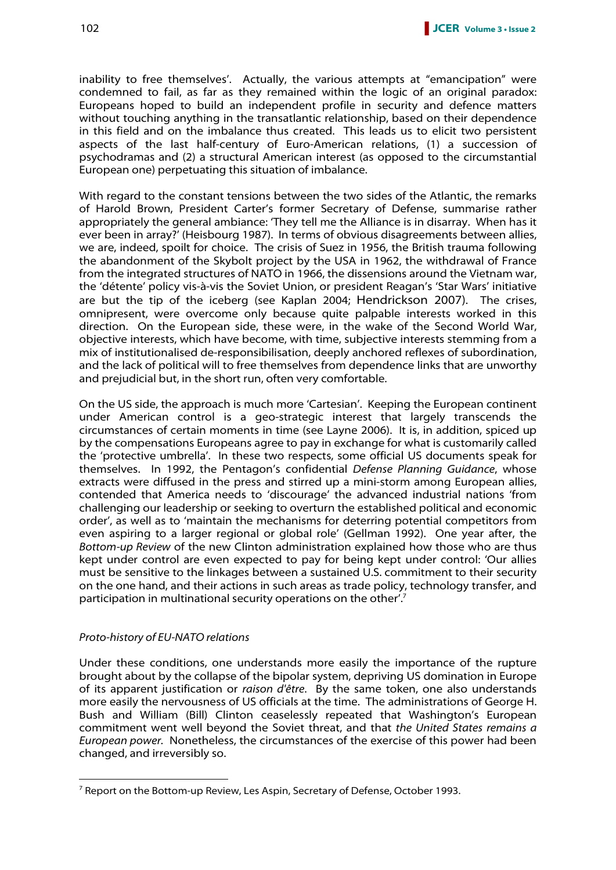inability to free themselves'. Actually, the various attempts at "emancipation" were condemned to fail, as far as they remained within the logic of an original paradox: Europeans hoped to build an independent profile in security and defence matters without touching anything in the transatlantic relationship, based on their dependence in this field and on the imbalance thus created. This leads us to elicit two persistent aspects of the last half-century of Euro-American relations, (1) a succession of psychodramas and (2) a structural American interest (as opposed to the circumstantial European one) perpetuating this situation of imbalance.

With regard to the constant tensions between the two sides of the Atlantic, the remarks of Harold Brown, President Carter's former Secretary of Defense, summarise rather appropriately the general ambiance: 'They tell me the Alliance is in disarray. When has it ever been in array?' (Heisbourg 1987). In terms of obvious disagreements between allies, we are, indeed, spoilt for choice. The crisis of Suez in 1956, the British trauma following the abandonment of the Skybolt project by the USA in 1962, the withdrawal of France from the integrated structures of NATO in 1966, the dissensions around the Vietnam war, the 'détente' policy vis-à-vis the Soviet Union, or president Reagan's 'Star Wars' initiative are but the tip of the iceberg (see Kaplan 2004; Hendrickson 2007). The crises, omnipresent, were overcome only because quite palpable interests worked in this direction. On the European side, these were, in the wake of the Second World War, objective interests, which have become, with time, subjective interests stemming from a mix of institutionalised de-responsibilisation, deeply anchored reflexes of subordination, and the lack of political will to free themselves from dependence links that are unworthy and prejudicial but, in the short run, often very comfortable.

On the US side, the approach is much more 'Cartesian'. Keeping the European continent under American control is a geo-strategic interest that largely transcends the circumstances of certain moments in time (see Layne 2006). It is, in addition, spiced up by the compensations Europeans agree to pay in exchange for what is customarily called the 'protective umbrella'. In these two respects, some official US documents speak for themselves. In 1992, the Pentagon's confidential Defense Planning Guidance, whose extracts were diffused in the press and stirred up a mini-storm among European allies, contended that America needs to 'discourage' the advanced industrial nations 'from challenging our leadership or seeking to overturn the established political and economic order', as well as to 'maintain the mechanisms for deterring potential competitors from even aspiring to a larger regional or global role' (Gellman 1992). One year after, the Bottom-up Review of the new Clinton administration explained how those who are thus kept under control are even expected to pay for being kept under control: 'Our allies must be sensitive to the linkages between a sustained U.S. commitment to their security on the one hand, and their actions in such areas as trade policy, technology transfer, and participation in multinational security operations on the other'.<sup>7</sup>

#### Proto-history of EU-NATO relations

 $\overline{a}$ 

Under these conditions, one understands more easily the importance of the rupture brought about by the collapse of the bipolar system, depriving US domination in Europe of its apparent justification or raison d'être. By the same token, one also understands more easily the nervousness of US officials at the time. The administrations of George H. Bush and William (Bill) Clinton ceaselessly repeated that Washington's European commitment went well beyond the Soviet threat, and that the United States remains a European power. Nonetheless, the circumstances of the exercise of this power had been changed, and irreversibly so.

<sup>&</sup>lt;sup>7</sup> Report on the Bottom-up Review, Les Aspin, Secretary of Defense, October 1993.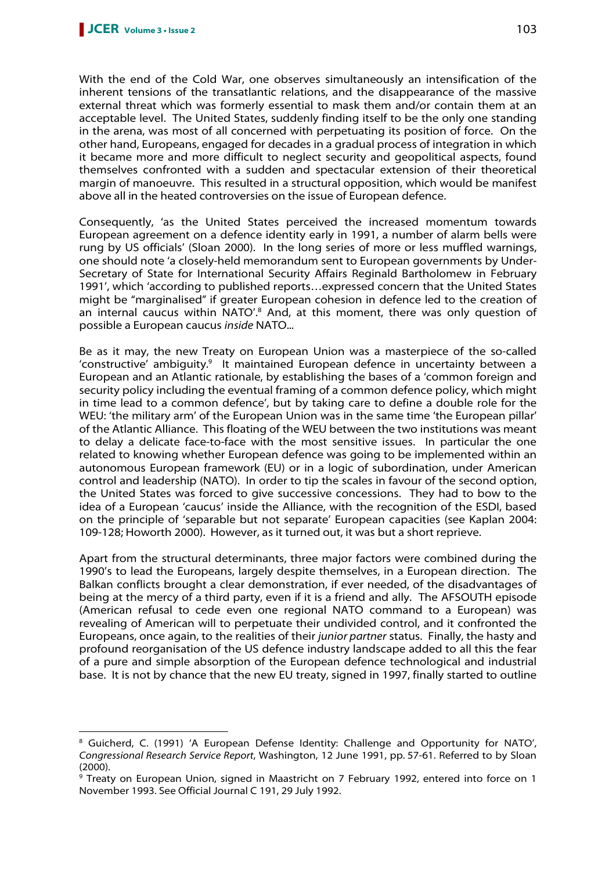$\overline{a}$ 

With the end of the Cold War, one observes simultaneously an intensification of the inherent tensions of the transatlantic relations, and the disappearance of the massive external threat which was formerly essential to mask them and/or contain them at an acceptable level. The United States, suddenly finding itself to be the only one standing in the arena, was most of all concerned with perpetuating its position of force. On the other hand, Europeans, engaged for decades in a gradual process of integration in which it became more and more difficult to neglect security and geopolitical aspects, found themselves confronted with a sudden and spectacular extension of their theoretical margin of manoeuvre. This resulted in a structural opposition, which would be manifest above all in the heated controversies on the issue of European defence.

Consequently, 'as the United States perceived the increased momentum towards European agreement on a defence identity early in 1991, a number of alarm bells were rung by US officials' (Sloan 2000). In the long series of more or less muffled warnings, one should note 'a closely-held memorandum sent to European governments by Under-Secretary of State for International Security Affairs Reginald Bartholomew in February 1991', which 'according to published reports…expressed concern that the United States might be "marginalised" if greater European cohesion in defence led to the creation of an internal caucus within NATO'.<sup>8</sup> And, at this moment, there was only question of possible a European caucus inside NATO...

Be as it may, the new Treaty on European Union was a masterpiece of the so-called 'constructive' ambiguity.<sup>9</sup> It maintained European defence in uncertainty between a European and an Atlantic rationale, by establishing the bases of a 'common foreign and security policy including the eventual framing of a common defence policy, which might in time lead to a common defence', but by taking care to define a double role for the WEU: 'the military arm' of the European Union was in the same time 'the European pillar' of the Atlantic Alliance. This floating of the WEU between the two institutions was meant to delay a delicate face-to-face with the most sensitive issues. In particular the one related to knowing whether European defence was going to be implemented within an autonomous European framework (EU) or in a logic of subordination, under American control and leadership (NATO). In order to tip the scales in favour of the second option, the United States was forced to give successive concessions. They had to bow to the idea of a European 'caucus' inside the Alliance, with the recognition of the ESDI, based on the principle of 'separable but not separate' European capacities (see Kaplan 2004: 109-128; Howorth 2000). However, as it turned out, it was but a short reprieve.

Apart from the structural determinants, three major factors were combined during the 1990's to lead the Europeans, largely despite themselves, in a European direction. The Balkan conflicts brought a clear demonstration, if ever needed, of the disadvantages of being at the mercy of a third party, even if it is a friend and ally. The AFSOUTH episode (American refusal to cede even one regional NATO command to a European) was revealing of American will to perpetuate their undivided control, and it confronted the Europeans, once again, to the realities of their junior partner status. Finally, the hasty and profound reorganisation of the US defence industry landscape added to all this the fear of a pure and simple absorption of the European defence technological and industrial base. It is not by chance that the new EU treaty, signed in 1997, finally started to outline

<sup>&</sup>lt;sup>8</sup> Guicherd, C. (1991) 'A European Defense Identity: Challenge and Opportunity for NATO', Congressional Research Service Report, Washington, 12 June 1991, pp. 57-61. Referred to by Sloan (2000).

<sup>9</sup> Treaty on European Union, signed in Maastricht on 7 February 1992, entered into force on 1 November 1993. See Official Journal C 191, 29 July 1992.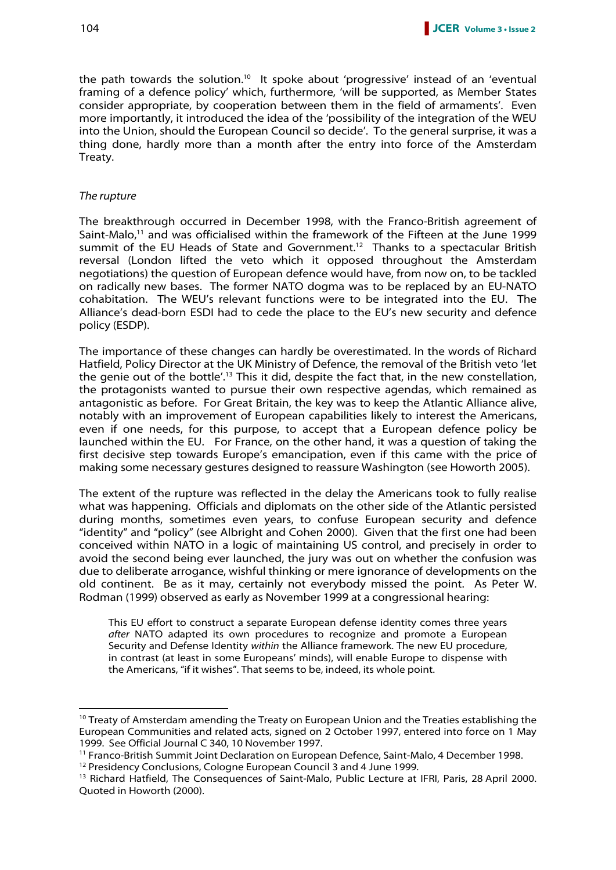the path towards the solution.<sup>10</sup> It spoke about 'progressive' instead of an 'eventual framing of a defence policy' which, furthermore, 'will be supported, as Member States consider appropriate, by cooperation between them in the field of armaments'. Even more importantly, it introduced the idea of the 'possibility of the integration of the WEU into the Union, should the European Council so decide'. To the general surprise, it was a thing done, hardly more than a month after the entry into force of the Amsterdam Treaty.

#### The rupture

 $\overline{a}$ 

The breakthrough occurred in December 1998, with the Franco-British agreement of Saint-Malo,<sup>11</sup> and was officialised within the framework of the Fifteen at the June 1999 summit of the EU Heads of State and Government.<sup>12</sup> Thanks to a spectacular British reversal (London lifted the veto which it opposed throughout the Amsterdam negotiations) the question of European defence would have, from now on, to be tackled on radically new bases. The former NATO dogma was to be replaced by an EU-NATO cohabitation. The WEU's relevant functions were to be integrated into the EU. The Alliance's dead-born ESDI had to cede the place to the EU's new security and defence policy (ESDP).

The importance of these changes can hardly be overestimated. In the words of Richard Hatfield, Policy Director at the UK Ministry of Defence, the removal of the British veto 'let the genie out of the bottle'.<sup>13</sup> This it did, despite the fact that, in the new constellation, the protagonists wanted to pursue their own respective agendas, which remained as antagonistic as before. For Great Britain, the key was to keep the Atlantic Alliance alive, notably with an improvement of European capabilities likely to interest the Americans, even if one needs, for this purpose, to accept that a European defence policy be launched within the EU. For France, on the other hand, it was a question of taking the first decisive step towards Europe's emancipation, even if this came with the price of making some necessary gestures designed to reassure Washington (see Howorth 2005).

The extent of the rupture was reflected in the delay the Americans took to fully realise what was happening. Officials and diplomats on the other side of the Atlantic persisted during months, sometimes even years, to confuse European security and defence "identity" and "policy" (see Albright and Cohen 2000). Given that the first one had been conceived within NATO in a logic of maintaining US control, and precisely in order to avoid the second being ever launched, the jury was out on whether the confusion was due to deliberate arrogance, wishful thinking or mere ignorance of developments on the old continent. Be as it may, certainly not everybody missed the point. As Peter W. Rodman (1999) observed as early as November 1999 at a congressional hearing:

This EU effort to construct a separate European defense identity comes three years after NATO adapted its own procedures to recognize and promote a European Security and Defense Identity within the Alliance framework. The new EU procedure, in contrast (at least in some Europeans' minds), will enable Europe to dispense with the Americans, "if it wishes". That seems to be, indeed, its whole point.

 $10$  Treaty of Amsterdam amending the Treaty on European Union and the Treaties establishing the European Communities and related acts, signed on 2 October 1997, entered into force on 1 May 1999. See Official Journal C 340, 10 November 1997.

<sup>&</sup>lt;sup>11</sup> Franco-British Summit Joint Declaration on European Defence, Saint-Malo, 4 December 1998.

<sup>&</sup>lt;sup>12</sup> Presidency Conclusions, Cologne European Council 3 and 4 June 1999.

<sup>&</sup>lt;sup>13</sup> Richard Hatfield, The Consequences of Saint-Malo, Public Lecture at IFRI, Paris, 28 April 2000. Quoted in Howorth (2000).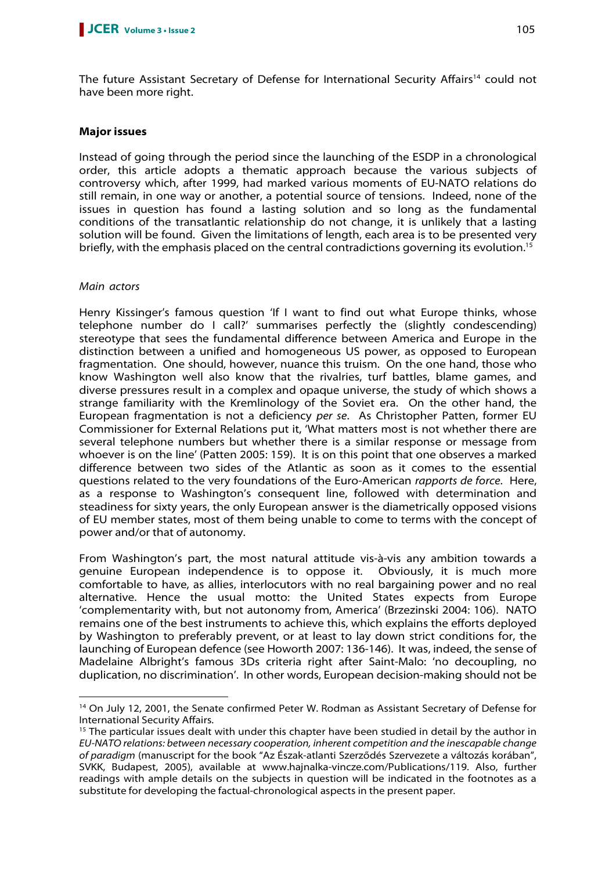The future Assistant Secretary of Defense for International Security Affairs<sup>14</sup> could not have been more right.

# **Major issues**

Instead of going through the period since the launching of the ESDP in a chronological order, this article adopts a thematic approach because the various subjects of controversy which, after 1999, had marked various moments of EU-NATO relations do still remain, in one way or another, a potential source of tensions. Indeed, none of the issues in question has found a lasting solution and so long as the fundamental conditions of the transatlantic relationship do not change, it is unlikely that a lasting solution will be found. Given the limitations of length, each area is to be presented very briefly, with the emphasis placed on the central contradictions governing its evolution.<sup>15</sup>

# Main actors

 $\overline{a}$ 

Henry Kissinger's famous question 'If I want to find out what Europe thinks, whose telephone number do I call?' summarises perfectly the (slightly condescending) stereotype that sees the fundamental difference between America and Europe in the distinction between a unified and homogeneous US power, as opposed to European fragmentation. One should, however, nuance this truism. On the one hand, those who know Washington well also know that the rivalries, turf battles, blame games, and diverse pressures result in a complex and opaque universe, the study of which shows a strange familiarity with the Kremlinology of the Soviet era. On the other hand, the European fragmentation is not a deficiency per se. As Christopher Patten, former EU Commissioner for External Relations put it, 'What matters most is not whether there are several telephone numbers but whether there is a similar response or message from whoever is on the line' (Patten 2005: 159). It is on this point that one observes a marked difference between two sides of the Atlantic as soon as it comes to the essential questions related to the very foundations of the Euro-American rapports de force. Here, as a response to Washington's consequent line, followed with determination and steadiness for sixty years, the only European answer is the diametrically opposed visions of EU member states, most of them being unable to come to terms with the concept of power and/or that of autonomy.

From Washington's part, the most natural attitude vis-à-vis any ambition towards a genuine European independence is to oppose it. Obviously, it is much more comfortable to have, as allies, interlocutors with no real bargaining power and no real alternative. Hence the usual motto: the United States expects from Europe 'complementarity with, but not autonomy from, America' (Brzezinski 2004: 106). NATO remains one of the best instruments to achieve this, which explains the efforts deployed by Washington to preferably prevent, or at least to lay down strict conditions for, the launching of European defence (see Howorth 2007: 136-146). It was, indeed, the sense of Madelaine Albright's famous 3Ds criteria right after Saint-Malo: 'no decoupling, no duplication, no discrimination'. In other words, European decision-making should not be

<sup>&</sup>lt;sup>14</sup> On July 12, 2001, the Senate confirmed Peter W. Rodman as Assistant Secretary of Defense for International Security Affairs.

<sup>&</sup>lt;sup>15</sup> The particular issues dealt with under this chapter have been studied in detail by the author in EU-NATO relations: between necessary cooperation, inherent competition and the inescapable change of paradigm (manuscript for the book "Az Észak-atlanti Szerződés Szervezete a változás korában", SVKK, Budapest, 2005), available at www.hajnalka-vincze.com/Publications/119. Also, further readings with ample details on the subjects in question will be indicated in the footnotes as a substitute for developing the factual-chronological aspects in the present paper.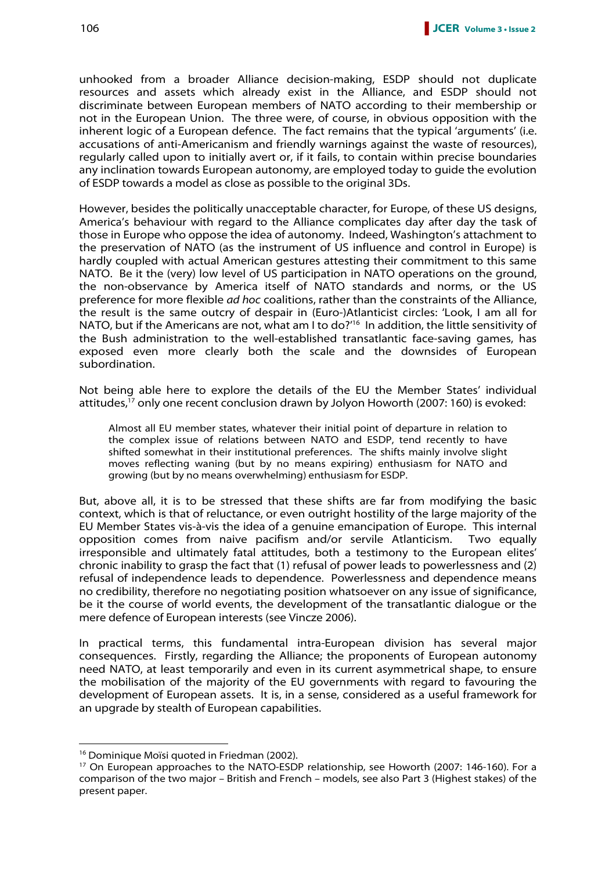unhooked from a broader Alliance decision-making, ESDP should not duplicate resources and assets which already exist in the Alliance, and ESDP should not discriminate between European members of NATO according to their membership or not in the European Union. The three were, of course, in obvious opposition with the inherent logic of a European defence. The fact remains that the typical 'arguments' (i.e. accusations of anti-Americanism and friendly warnings against the waste of resources), regularly called upon to initially avert or, if it fails, to contain within precise boundaries any inclination towards European autonomy, are employed today to guide the evolution of ESDP towards a model as close as possible to the original 3Ds.

However, besides the politically unacceptable character, for Europe, of these US designs, America's behaviour with regard to the Alliance complicates day after day the task of those in Europe who oppose the idea of autonomy. Indeed, Washington's attachment to the preservation of NATO (as the instrument of US influence and control in Europe) is hardly coupled with actual American gestures attesting their commitment to this same NATO. Be it the (very) low level of US participation in NATO operations on the ground, the non-observance by America itself of NATO standards and norms, or the US preference for more flexible ad hoc coalitions, rather than the constraints of the Alliance, the result is the same outcry of despair in (Euro-)Atlanticist circles: 'Look, I am all for NATO, but if the Americans are not, what am I to do?<sup>'16</sup> In addition, the little sensitivity of the Bush administration to the well-established transatlantic face-saving games, has exposed even more clearly both the scale and the downsides of European subordination.

Not being able here to explore the details of the EU the Member States' individual attitudes,<sup>17</sup> only one recent conclusion drawn by Jolyon Howorth (2007: 160) is evoked:

Almost all EU member states, whatever their initial point of departure in relation to the complex issue of relations between NATO and ESDP, tend recently to have shifted somewhat in their institutional preferences. The shifts mainly involve slight moves reflecting waning (but by no means expiring) enthusiasm for NATO and growing (but by no means overwhelming) enthusiasm for ESDP.

But, above all, it is to be stressed that these shifts are far from modifying the basic context, which is that of reluctance, or even outright hostility of the large majority of the EU Member States vis-à-vis the idea of a genuine emancipation of Europe. This internal opposition comes from naive pacifism and/or servile Atlanticism. Two equally irresponsible and ultimately fatal attitudes, both a testimony to the European elites' chronic inability to grasp the fact that (1) refusal of power leads to powerlessness and (2) refusal of independence leads to dependence. Powerlessness and dependence means no credibility, therefore no negotiating position whatsoever on any issue of significance, be it the course of world events, the development of the transatlantic dialogue or the mere defence of European interests (see Vincze 2006).

In practical terms, this fundamental intra-European division has several major consequences. Firstly, regarding the Alliance; the proponents of European autonomy need NATO, at least temporarily and even in its current asymmetrical shape, to ensure the mobilisation of the majority of the EU governments with regard to favouring the development of European assets. It is, in a sense, considered as a useful framework for an upgrade by stealth of European capabilities.

<sup>&</sup>lt;sup>16</sup> Dominique Moïsi quoted in Friedman (2002).

<sup>&</sup>lt;sup>17</sup> On European approaches to the NATO-ESDP relationship, see Howorth (2007: 146-160). For a comparison of the two major – British and French – models, see also Part 3 (Highest stakes) of the present paper.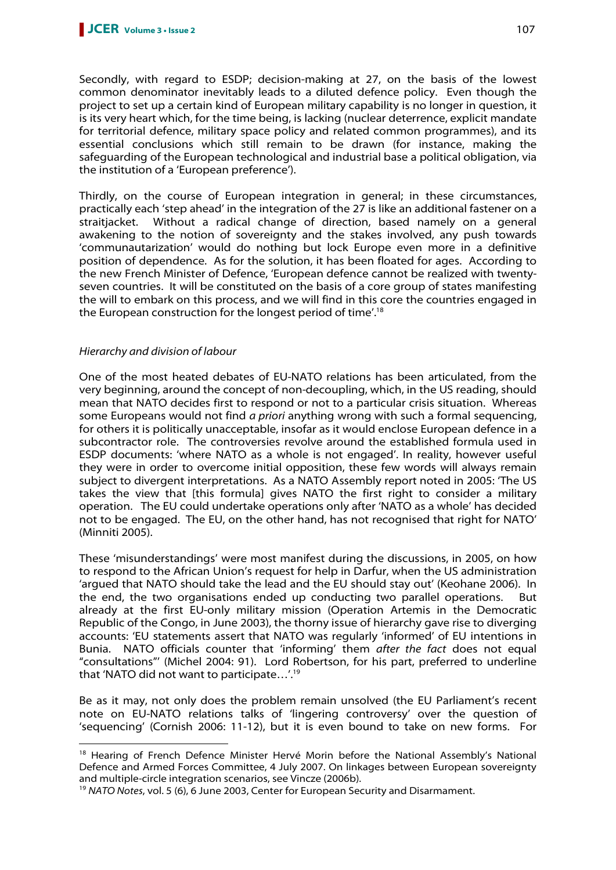Secondly, with regard to ESDP; decision-making at 27, on the basis of the lowest common denominator inevitably leads to a diluted defence policy. Even though the project to set up a certain kind of European military capability is no longer in question, it is its very heart which, for the time being, is lacking (nuclear deterrence, explicit mandate for territorial defence, military space policy and related common programmes), and its essential conclusions which still remain to be drawn (for instance, making the safeguarding of the European technological and industrial base a political obligation, via the institution of a 'European preference').

Thirdly, on the course of European integration in general; in these circumstances, practically each 'step ahead' in the integration of the 27 is like an additional fastener on a straitjacket. Without a radical change of direction, based namely on a general awakening to the notion of sovereignty and the stakes involved, any push towards 'communautarization' would do nothing but lock Europe even more in a definitive position of dependence. As for the solution, it has been floated for ages. According to the new French Minister of Defence, 'European defence cannot be realized with twentyseven countries. It will be constituted on the basis of a core group of states manifesting the will to embark on this process, and we will find in this core the countries engaged in the European construction for the longest period of time'.<sup>18</sup>

# Hierarchy and division of labour

 $\overline{a}$ 

One of the most heated debates of EU-NATO relations has been articulated, from the very beginning, around the concept of non-decoupling, which, in the US reading, should mean that NATO decides first to respond or not to a particular crisis situation. Whereas some Europeans would not find a priori anything wrong with such a formal sequencing, for others it is politically unacceptable, insofar as it would enclose European defence in a subcontractor role. The controversies revolve around the established formula used in ESDP documents: 'where NATO as a whole is not engaged'. In reality, however useful they were in order to overcome initial opposition, these few words will always remain subject to divergent interpretations. As a NATO Assembly report noted in 2005: 'The US takes the view that [this formula] gives NATO the first right to consider a military operation. The EU could undertake operations only after 'NATO as a whole' has decided not to be engaged. The EU, on the other hand, has not recognised that right for NATO' (Minniti 2005).

These 'misunderstandings' were most manifest during the discussions, in 2005, on how to respond to the African Union's request for help in Darfur, when the US administration 'argued that NATO should take the lead and the EU should stay out' (Keohane 2006). In the end, the two organisations ended up conducting two parallel operations. But already at the first EU-only military mission (Operation Artemis in the Democratic Republic of the Congo, in June 2003), the thorny issue of hierarchy gave rise to diverging accounts: 'EU statements assert that NATO was regularly 'informed' of EU intentions in Bunia. NATO officials counter that 'informing' them after the fact does not equal "consultations"' (Michel 2004: 91). Lord Robertson, for his part, preferred to underline that 'NATO did not want to participate…'.<sup>19</sup>

Be as it may, not only does the problem remain unsolved (the EU Parliament's recent note on EU-NATO relations talks of 'lingering controversy' over the question of 'sequencing' (Cornish 2006: 11-12), but it is even bound to take on new forms. For

<sup>&</sup>lt;sup>18</sup> Hearing of French Defence Minister Hervé Morin before the National Assembly's National Defence and Armed Forces Committee, 4 July 2007. On linkages between European sovereignty and multiple-circle integration scenarios, see Vincze (2006b).

<sup>&</sup>lt;sup>19</sup> NATO Notes, vol. 5 (6), 6 June 2003, Center for European Security and Disarmament.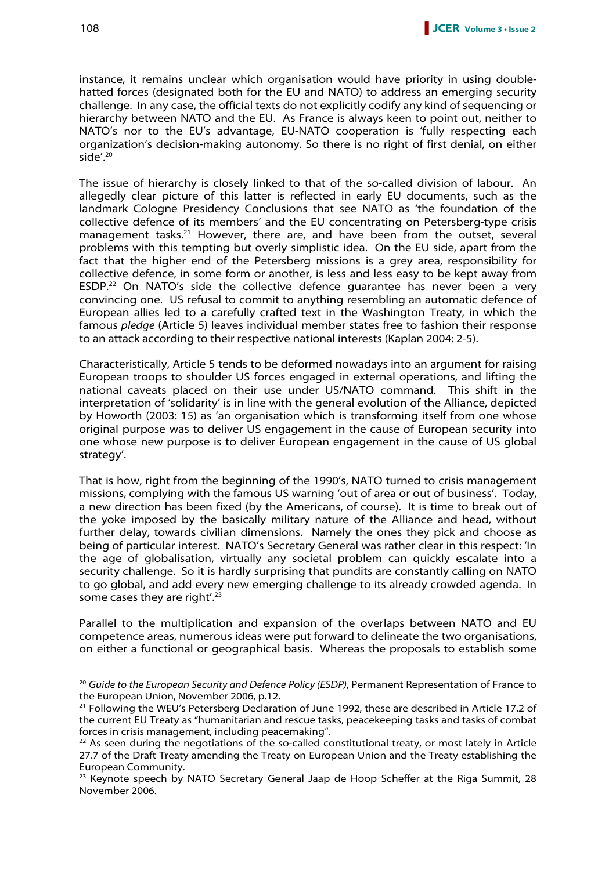instance, it remains unclear which organisation would have priority in using doublehatted forces (designated both for the EU and NATO) to address an emerging security challenge. In any case, the official texts do not explicitly codify any kind of sequencing or hierarchy between NATO and the EU. As France is always keen to point out, neither to NATO's nor to the EU's advantage, EU-NATO cooperation is 'fully respecting each organization's decision-making autonomy. So there is no right of first denial, on either side'.<sup>20</sup>

The issue of hierarchy is closely linked to that of the so-called division of labour. An allegedly clear picture of this latter is reflected in early EU documents, such as the landmark Cologne Presidency Conclusions that see NATO as 'the foundation of the collective defence of its members' and the EU concentrating on Petersberg-type crisis management tasks.<sup>21</sup> However, there are, and have been from the outset, several problems with this tempting but overly simplistic idea. On the EU side, apart from the fact that the higher end of the Petersberg missions is a grey area, responsibility for collective defence, in some form or another, is less and less easy to be kept away from ESDP.<sup>22</sup> On NATO's side the collective defence quarantee has never been a very convincing one. US refusal to commit to anything resembling an automatic defence of European allies led to a carefully crafted text in the Washington Treaty, in which the famous pledge (Article 5) leaves individual member states free to fashion their response to an attack according to their respective national interests (Kaplan 2004: 2-5).

Characteristically, Article 5 tends to be deformed nowadays into an argument for raising European troops to shoulder US forces engaged in external operations, and lifting the national caveats placed on their use under US/NATO command. This shift in the interpretation of 'solidarity' is in line with the general evolution of the Alliance, depicted by Howorth (2003: 15) as 'an organisation which is transforming itself from one whose original purpose was to deliver US engagement in the cause of European security into one whose new purpose is to deliver European engagement in the cause of US global strategy'.

That is how, right from the beginning of the 1990's, NATO turned to crisis management missions, complying with the famous US warning 'out of area or out of business'. Today, a new direction has been fixed (by the Americans, of course). It is time to break out of the yoke imposed by the basically military nature of the Alliance and head, without further delay, towards civilian dimensions. Namely the ones they pick and choose as being of particular interest. NATO's Secretary General was rather clear in this respect: 'In the age of globalisation, virtually any societal problem can quickly escalate into a security challenge. So it is hardly surprising that pundits are constantly calling on NATO to go global, and add every new emerging challenge to its already crowded agenda. In some cases they are right'.<sup>23</sup>

Parallel to the multiplication and expansion of the overlaps between NATO and EU competence areas, numerous ideas were put forward to delineate the two organisations, on either a functional or geographical basis. Whereas the proposals to establish some

<sup>&</sup>lt;sup>20</sup> Guide to the European Security and Defence Policy (ESDP), Permanent Representation of France to the European Union, November 2006, p.12.

<sup>&</sup>lt;sup>21</sup> Following the WEU's Petersberg Declaration of June 1992, these are described in Article 17.2 of the current EU Treaty as "humanitarian and rescue tasks, peacekeeping tasks and tasks of combat forces in crisis management, including peacemaking".

 $22$  As seen during the negotiations of the so-called constitutional treaty, or most lately in Article 27.7 of the Draft Treaty amending the Treaty on European Union and the Treaty establishing the European Community.

<sup>&</sup>lt;sup>23</sup> Keynote speech by NATO Secretary General Jaap de Hoop Scheffer at the Riga Summit, 28 November 2006.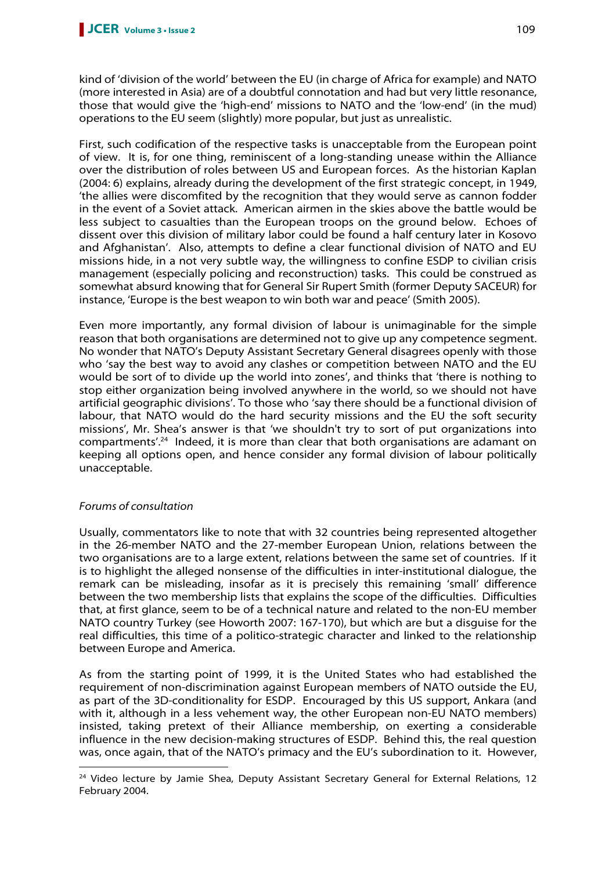kind of 'division of the world' between the EU (in charge of Africa for example) and NATO (more interested in Asia) are of a doubtful connotation and had but very little resonance, those that would give the 'high-end' missions to NATO and the 'low-end' (in the mud) operations to the EU seem (slightly) more popular, but just as unrealistic.

First, such codification of the respective tasks is unacceptable from the European point of view. It is, for one thing, reminiscent of a long-standing unease within the Alliance over the distribution of roles between US and European forces. As the historian Kaplan (2004: 6) explains, already during the development of the first strategic concept, in 1949, 'the allies were discomfited by the recognition that they would serve as cannon fodder in the event of a Soviet attack. American airmen in the skies above the battle would be less subject to casualties than the European troops on the ground below. Echoes of dissent over this division of military labor could be found a half century later in Kosovo and Afghanistan'. Also, attempts to define a clear functional division of NATO and EU missions hide, in a not very subtle way, the willingness to confine ESDP to civilian crisis management (especially policing and reconstruction) tasks. This could be construed as somewhat absurd knowing that for General Sir Rupert Smith (former Deputy SACEUR) for instance, 'Europe is the best weapon to win both war and peace' (Smith 2005).

Even more importantly, any formal division of labour is unimaginable for the simple reason that both organisations are determined not to give up any competence segment. No wonder that NATO's Deputy Assistant Secretary General disagrees openly with those who 'say the best way to avoid any clashes or competition between NATO and the EU would be sort of to divide up the world into zones', and thinks that 'there is nothing to stop either organization being involved anywhere in the world, so we should not have artificial geographic divisions'. To those who 'say there should be a functional division of labour, that NATO would do the hard security missions and the EU the soft security missions', Mr. Shea's answer is that 'we shouldn't try to sort of put organizations into compartments'.<sup>24</sup> Indeed, it is more than clear that both organisations are adamant on keeping all options open, and hence consider any formal division of labour politically unacceptable.

# Forums of consultation

Usually, commentators like to note that with 32 countries being represented altogether in the 26-member NATO and the 27-member European Union, relations between the two organisations are to a large extent, relations between the same set of countries. If it is to highlight the alleged nonsense of the difficulties in inter-institutional dialogue, the remark can be misleading, insofar as it is precisely this remaining 'small' difference between the two membership lists that explains the scope of the difficulties. Difficulties that, at first glance, seem to be of a technical nature and related to the non-EU member NATO country Turkey (see Howorth 2007: 167-170), but which are but a disguise for the real difficulties, this time of a politico-strategic character and linked to the relationship between Europe and America.

As from the starting point of 1999, it is the United States who had established the requirement of non-discrimination against European members of NATO outside the EU, as part of the 3D-conditionality for ESDP. Encouraged by this US support, Ankara (and with it, although in a less vehement way, the other European non-EU NATO members) insisted, taking pretext of their Alliance membership, on exerting a considerable influence in the new decision-making structures of ESDP. Behind this, the real question was, once again, that of the NATO's primacy and the EU's subordination to it. However,  $\overline{a}$ 

<sup>&</sup>lt;sup>24</sup> Video lecture by Jamie Shea, Deputy Assistant Secretary General for External Relations, 12 February 2004.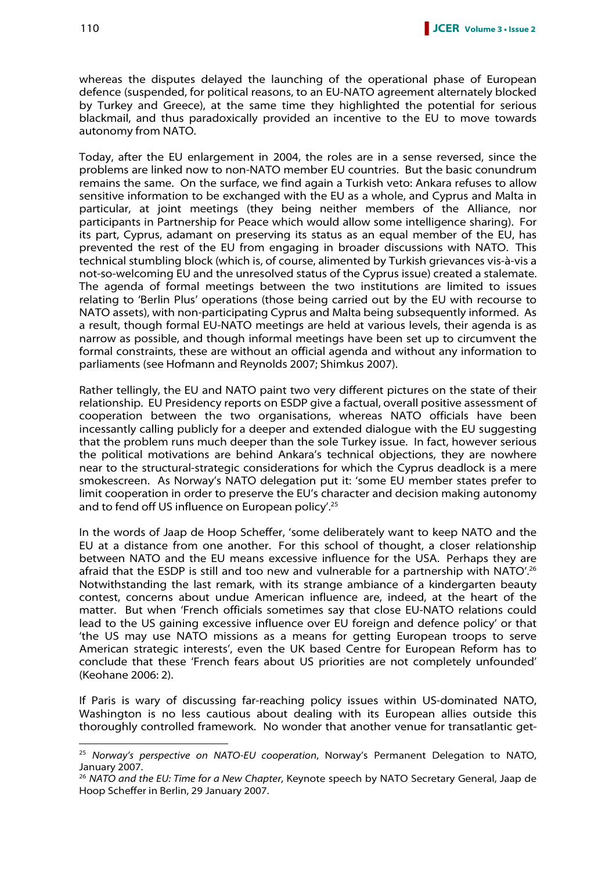whereas the disputes delayed the launching of the operational phase of European defence (suspended, for political reasons, to an EU-NATO agreement alternately blocked by Turkey and Greece), at the same time they highlighted the potential for serious blackmail, and thus paradoxically provided an incentive to the EU to move towards autonomy from NATO.

Today, after the EU enlargement in 2004, the roles are in a sense reversed, since the problems are linked now to non-NATO member EU countries. But the basic conundrum remains the same. On the surface, we find again a Turkish veto: Ankara refuses to allow sensitive information to be exchanged with the EU as a whole, and Cyprus and Malta in particular, at joint meetings (they being neither members of the Alliance, nor participants in Partnership for Peace which would allow some intelligence sharing). For its part, Cyprus, adamant on preserving its status as an equal member of the EU, has prevented the rest of the EU from engaging in broader discussions with NATO. This technical stumbling block (which is, of course, alimented by Turkish grievances vis-à-vis a not-so-welcoming EU and the unresolved status of the Cyprus issue) created a stalemate. The agenda of formal meetings between the two institutions are limited to issues relating to 'Berlin Plus' operations (those being carried out by the EU with recourse to NATO assets), with non-participating Cyprus and Malta being subsequently informed. As a result, though formal EU-NATO meetings are held at various levels, their agenda is as narrow as possible, and though informal meetings have been set up to circumvent the formal constraints, these are without an official agenda and without any information to parliaments (see Hofmann and Reynolds 2007; Shimkus 2007).

Rather tellingly, the EU and NATO paint two very different pictures on the state of their relationship. EU Presidency reports on ESDP give a factual, overall positive assessment of cooperation between the two organisations, whereas NATO officials have been incessantly calling publicly for a deeper and extended dialogue with the EU suggesting that the problem runs much deeper than the sole Turkey issue. In fact, however serious the political motivations are behind Ankara's technical objections, they are nowhere near to the structural-strategic considerations for which the Cyprus deadlock is a mere smokescreen. As Norway's NATO delegation put it: 'some EU member states prefer to limit cooperation in order to preserve the EU's character and decision making autonomy and to fend off US influence on European policy<sup>'.25</sup>

In the words of Jaap de Hoop Scheffer, 'some deliberately want to keep NATO and the EU at a distance from one another. For this school of thought, a closer relationship between NATO and the EU means excessive influence for the USA. Perhaps they are afraid that the ESDP is still and too new and vulnerable for a partnership with NATO'.<sup>26</sup> Notwithstanding the last remark, with its strange ambiance of a kindergarten beauty contest, concerns about undue American influence are, indeed, at the heart of the matter. But when 'French officials sometimes say that close EU-NATO relations could lead to the US gaining excessive influence over EU foreign and defence policy' or that 'the US may use NATO missions as a means for getting European troops to serve American strategic interests', even the UK based Centre for European Reform has to conclude that these 'French fears about US priorities are not completely unfounded' (Keohane 2006: 2).

If Paris is wary of discussing far-reaching policy issues within US-dominated NATO, Washington is no less cautious about dealing with its European allies outside this thoroughly controlled framework. No wonder that another venue for transatlantic get-

 $25$  Norway's perspective on NATO-EU cooperation, Norway's Permanent Delegation to NATO, January 2007.

<sup>&</sup>lt;sup>26</sup> NATO and the EU: Time for a New Chapter, Keynote speech by NATO Secretary General, Jaap de Hoop Scheffer in Berlin, 29 January 2007.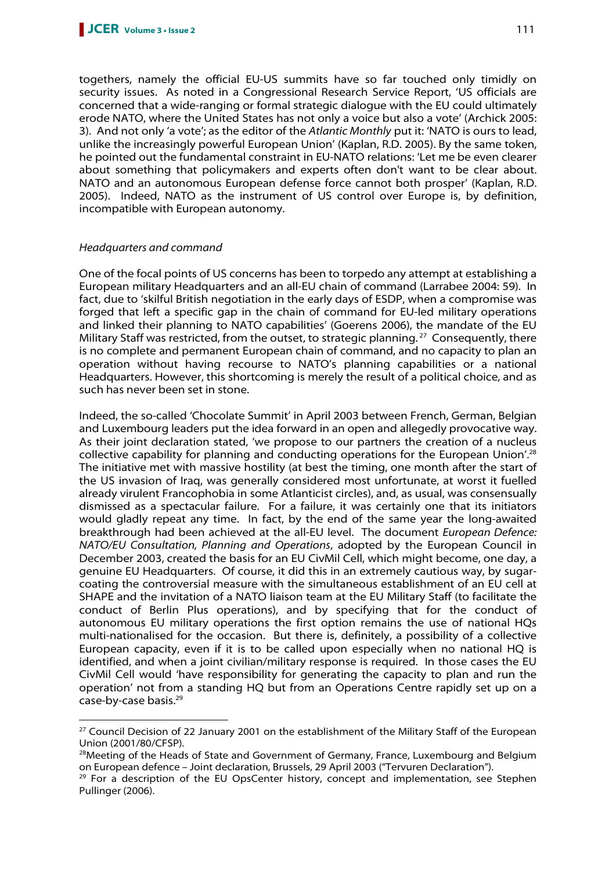togethers, namely the official EU-US summits have so far touched only timidly on security issues. As noted in a Congressional Research Service Report, 'US officials are concerned that a wide-ranging or formal strategic dialogue with the EU could ultimately erode NATO, where the United States has not only a voice but also a vote' (Archick 2005: 3). And not only 'a vote'; as the editor of the Atlantic Monthly put it: 'NATO is ours to lead, unlike the increasingly powerful European Union' (Kaplan, R.D. 2005). By the same token, he pointed out the fundamental constraint in EU-NATO relations: 'Let me be even clearer about something that policymakers and experts often don't want to be clear about. NATO and an autonomous European defense force cannot both prosper' (Kaplan, R.D. 2005). Indeed, NATO as the instrument of US control over Europe is, by definition, incompatible with European autonomy.

# Headquarters and command

 $\overline{a}$ 

One of the focal points of US concerns has been to torpedo any attempt at establishing a European military Headquarters and an all-EU chain of command (Larrabee 2004: 59). In fact, due to 'skilful British negotiation in the early days of ESDP, when a compromise was forged that left a specific gap in the chain of command for EU-led military operations and linked their planning to NATO capabilities' (Goerens 2006), the mandate of the EU Military Staff was restricted, from the outset, to strategic planning.<sup>27</sup> Consequently, there is no complete and permanent European chain of command, and no capacity to plan an operation without having recourse to NATO's planning capabilities or a national Headquarters. However, this shortcoming is merely the result of a political choice, and as such has never been set in stone.

Indeed, the so-called 'Chocolate Summit' in April 2003 between French, German, Belgian and Luxembourg leaders put the idea forward in an open and allegedly provocative way. As their joint declaration stated, 'we propose to our partners the creation of a nucleus collective capability for planning and conducting operations for the European Union'.<sup>28</sup> The initiative met with massive hostility (at best the timing, one month after the start of the US invasion of Iraq, was generally considered most unfortunate, at worst it fuelled already virulent Francophobia in some Atlanticist circles), and, as usual, was consensually dismissed as a spectacular failure. For a failure, it was certainly one that its initiators would gladly repeat any time. In fact, by the end of the same year the long-awaited breakthrough had been achieved at the all-EU level. The document European Defence: NATO/EU Consultation, Planning and Operations, adopted by the European Council in December 2003, created the basis for an EU CivMil Cell, which might become, one day, a genuine EU Headquarters. Of course, it did this in an extremely cautious way, by sugarcoating the controversial measure with the simultaneous establishment of an EU cell at SHAPE and the invitation of a NATO liaison team at the EU Military Staff (to facilitate the conduct of Berlin Plus operations), and by specifying that for the conduct of autonomous EU military operations the first option remains the use of national HQs multi-nationalised for the occasion. But there is, definitely, a possibility of a collective European capacity, even if it is to be called upon especially when no national HQ is identified, and when a joint civilian/military response is required. In those cases the EU CivMil Cell would 'have responsibility for generating the capacity to plan and run the operation' not from a standing HQ but from an Operations Centre rapidly set up on a case-by-case basis.<sup>29</sup>

<sup>&</sup>lt;sup>27</sup> Council Decision of 22 January 2001 on the establishment of the Military Staff of the European Union (2001/80/CFSP).

<sup>&</sup>lt;sup>28</sup>Meeting of the Heads of State and Government of Germany, France, Luxembourg and Belgium on European defence – Joint declaration, Brussels, 29 April 2003 ("Tervuren Declaration").

<sup>&</sup>lt;sup>29</sup> For a description of the EU OpsCenter history, concept and implementation, see Stephen Pullinger (2006).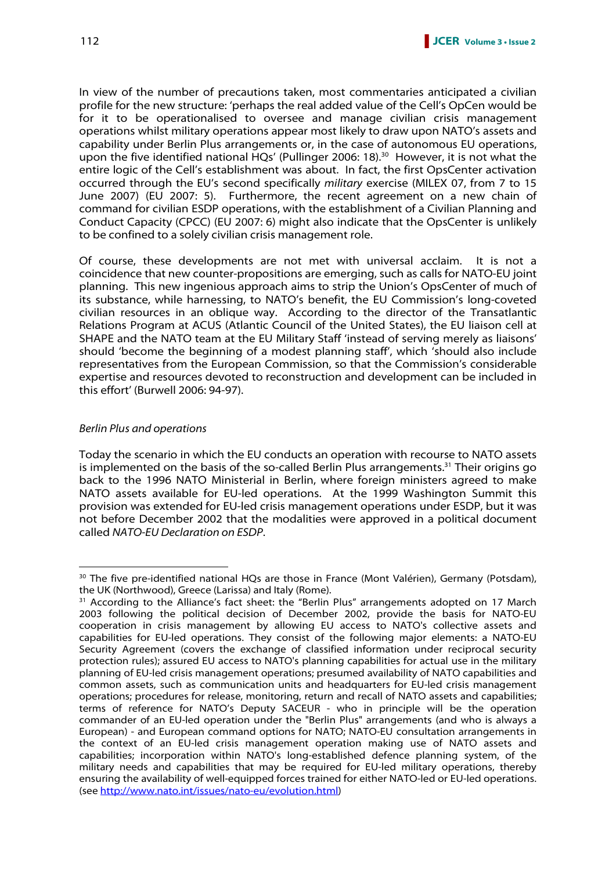In view of the number of precautions taken, most commentaries anticipated a civilian profile for the new structure: 'perhaps the real added value of the Cell's OpCen would be for it to be operationalised to oversee and manage civilian crisis management operations whilst military operations appear most likely to draw upon NATO's assets and capability under Berlin Plus arrangements or, in the case of autonomous EU operations, upon the five identified national HQs' (Pullinger 2006: 18).<sup>30</sup> However, it is not what the entire logic of the Cell's establishment was about. In fact, the first OpsCenter activation occurred through the EU's second specifically military exercise (MILEX 07, from 7 to 15 June 2007) (EU 2007: 5). Furthermore, the recent agreement on a new chain of command for civilian ESDP operations, with the establishment of a Civilian Planning and Conduct Capacity (CPCC) (EU 2007: 6) might also indicate that the OpsCenter is unlikely to be confined to a solely civilian crisis management role.

Of course, these developments are not met with universal acclaim. It is not a coincidence that new counter-propositions are emerging, such as calls for NATO-EU joint planning. This new ingenious approach aims to strip the Union's OpsCenter of much of its substance, while harnessing, to NATO's benefit, the EU Commission's long-coveted civilian resources in an oblique way. According to the director of the Transatlantic Relations Program at ACUS (Atlantic Council of the United States), the EU liaison cell at SHAPE and the NATO team at the EU Military Staff 'instead of serving merely as liaisons' should 'become the beginning of a modest planning staff', which 'should also include representatives from the European Commission, so that the Commission's considerable expertise and resources devoted to reconstruction and development can be included in this effort' (Burwell 2006: 94-97).

# Berlin Plus and operations

 $\overline{a}$ 

Today the scenario in which the EU conducts an operation with recourse to NATO assets is implemented on the basis of the so-called Berlin Plus arrangements.<sup>31</sup> Their origins go back to the 1996 NATO Ministerial in Berlin, where foreign ministers agreed to make NATO assets available for EU-led operations. At the 1999 Washington Summit this provision was extended for EU-led crisis management operations under ESDP, but it was not before December 2002 that the modalities were approved in a political document called NATO-EU Declaration on ESDP.

<sup>&</sup>lt;sup>30</sup> The five pre-identified national HQs are those in France (Mont Valérien), Germany (Potsdam), the UK (Northwood), Greece (Larissa) and Italy (Rome).

<sup>&</sup>lt;sup>31</sup> According to the Alliance's fact sheet: the "Berlin Plus" arrangements adopted on 17 March 2003 following the political decision of December 2002, provide the basis for NATO-EU cooperation in crisis management by allowing EU access to NATO's collective assets and capabilities for EU-led operations. They consist of the following major elements: a NATO-EU Security Agreement (covers the exchange of classified information under reciprocal security protection rules); assured EU access to NATO's planning capabilities for actual use in the military planning of EU-led crisis management operations; presumed availability of NATO capabilities and common assets, such as communication units and headquarters for EU-led crisis management operations; procedures for release, monitoring, return and recall of NATO assets and capabilities; terms of reference for NATO's Deputy SACEUR - who in principle will be the operation commander of an EU-led operation under the "Berlin Plus" arrangements (and who is always a European) - and European command options for NATO; NATO-EU consultation arrangements in the context of an EU-led crisis management operation making use of NATO assets and capabilities; incorporation within NATO's long-established defence planning system, of the military needs and capabilities that may be required for EU-led military operations, thereby ensuring the availability of well-equipped forces trained for either NATO-led or EU-led operations. (see http://www.nato.int/issues/nato-eu/evolution.html)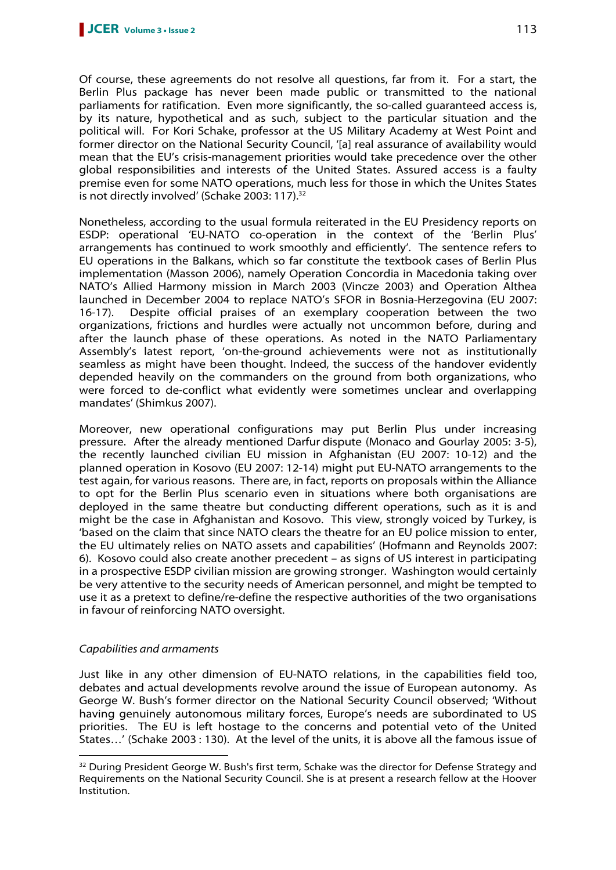Of course, these agreements do not resolve all questions, far from it. For a start, the Berlin Plus package has never been made public or transmitted to the national parliaments for ratification. Even more significantly, the so-called guaranteed access is, by its nature, hypothetical and as such, subject to the particular situation and the political will. For Kori Schake, professor at the US Military Academy at West Point and former director on the National Security Council, '[a] real assurance of availability would mean that the EU's crisis-management priorities would take precedence over the other global responsibilities and interests of the United States. Assured access is a faulty premise even for some NATO operations, much less for those in which the Unites States is not directly involved' (Schake 2003: 117).<sup>32</sup>

Nonetheless, according to the usual formula reiterated in the EU Presidency reports on ESDP: operational 'EU-NATO co-operation in the context of the 'Berlin Plus' arrangements has continued to work smoothly and efficiently'. The sentence refers to EU operations in the Balkans, which so far constitute the textbook cases of Berlin Plus implementation (Masson 2006), namely Operation Concordia in Macedonia taking over NATO's Allied Harmony mission in March 2003 (Vincze 2003) and Operation Althea launched in December 2004 to replace NATO's SFOR in Bosnia-Herzegovina (EU 2007: 16-17). Despite official praises of an exemplary cooperation between the two organizations, frictions and hurdles were actually not uncommon before, during and after the launch phase of these operations. As noted in the NATO Parliamentary Assembly's latest report, 'on-the-ground achievements were not as institutionally seamless as might have been thought. Indeed, the success of the handover evidently depended heavily on the commanders on the ground from both organizations, who were forced to de-conflict what evidently were sometimes unclear and overlapping mandates' (Shimkus 2007).

Moreover, new operational configurations may put Berlin Plus under increasing pressure. After the already mentioned Darfur dispute (Monaco and Gourlay 2005: 3-5), the recently launched civilian EU mission in Afghanistan (EU 2007: 10-12) and the planned operation in Kosovo (EU 2007: 12-14) might put EU-NATO arrangements to the test again, for various reasons. There are, in fact, reports on proposals within the Alliance to opt for the Berlin Plus scenario even in situations where both organisations are deployed in the same theatre but conducting different operations, such as it is and might be the case in Afghanistan and Kosovo. This view, strongly voiced by Turkey, is 'based on the claim that since NATO clears the theatre for an EU police mission to enter, the EU ultimately relies on NATO assets and capabilities' (Hofmann and Reynolds 2007: 6). Kosovo could also create another precedent – as signs of US interest in participating in a prospective ESDP civilian mission are growing stronger. Washington would certainly be very attentive to the security needs of American personnel, and might be tempted to use it as a pretext to define/re-define the respective authorities of the two organisations in favour of reinforcing NATO oversight.

# Capabilities and armaments

Just like in any other dimension of EU-NATO relations, in the capabilities field too, debates and actual developments revolve around the issue of European autonomy. As George W. Bush's former director on the National Security Council observed; 'Without having genuinely autonomous military forces, Europe's needs are subordinated to US priorities. The EU is left hostage to the concerns and potential veto of the United States…' (Schake 2003 : 130). At the level of the units, it is above all the famous issue of  $\overline{a}$ 

<sup>&</sup>lt;sup>32</sup> During President George W. Bush's first term, Schake was the director for Defense Strategy and Requirements on the National Security Council. She is at present a research fellow at the Hoover Institution.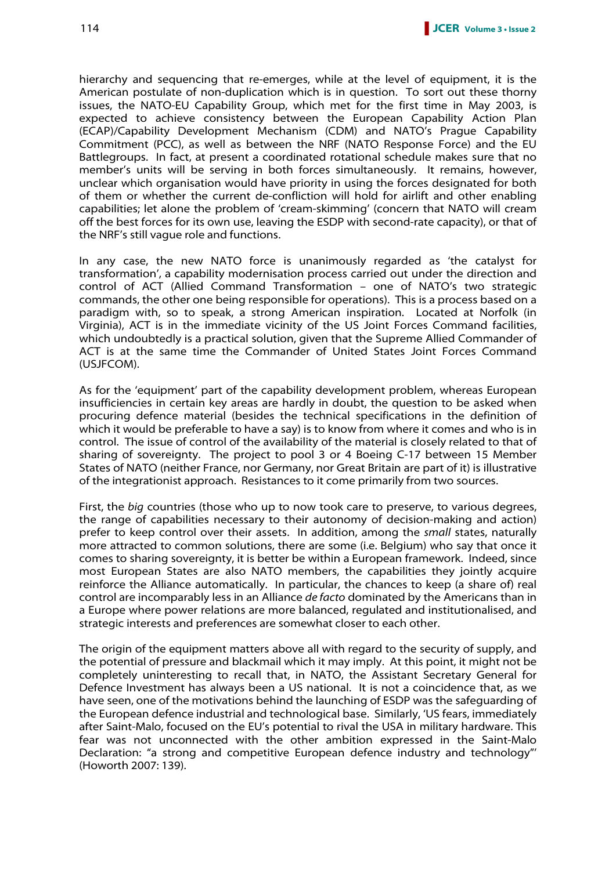hierarchy and sequencing that re-emerges, while at the level of equipment, it is the American postulate of non-duplication which is in question. To sort out these thorny issues, the NATO-EU Capability Group, which met for the first time in May 2003, is expected to achieve consistency between the European Capability Action Plan (ECAP)/Capability Development Mechanism (CDM) and NATO's Prague Capability Commitment (PCC), as well as between the NRF (NATO Response Force) and the EU Battlegroups. In fact, at present a coordinated rotational schedule makes sure that no member's units will be serving in both forces simultaneously. It remains, however, unclear which organisation would have priority in using the forces designated for both of them or whether the current de-confliction will hold for airlift and other enabling capabilities; let alone the problem of 'cream-skimming' (concern that NATO will cream off the best forces for its own use, leaving the ESDP with second-rate capacity), or that of the NRF's still vague role and functions.

In any case, the new NATO force is unanimously regarded as 'the catalyst for transformation', a capability modernisation process carried out under the direction and control of ACT (Allied Command Transformation – one of NATO's two strategic commands, the other one being responsible for operations). This is a process based on a paradigm with, so to speak, a strong American inspiration. Located at Norfolk (in Virginia), ACT is in the immediate vicinity of the US Joint Forces Command facilities, which undoubtedly is a practical solution, given that the Supreme Allied Commander of ACT is at the same time the Commander of United States Joint Forces Command (USJFCOM).

As for the 'equipment' part of the capability development problem, whereas European insufficiencies in certain key areas are hardly in doubt, the question to be asked when procuring defence material (besides the technical specifications in the definition of which it would be preferable to have a say) is to know from where it comes and who is in control. The issue of control of the availability of the material is closely related to that of sharing of sovereignty. The project to pool 3 or 4 Boeing C-17 between 15 Member States of NATO (neither France, nor Germany, nor Great Britain are part of it) is illustrative of the integrationist approach. Resistances to it come primarily from two sources.

First, the big countries (those who up to now took care to preserve, to various degrees, the range of capabilities necessary to their autonomy of decision-making and action) prefer to keep control over their assets. In addition, among the small states, naturally more attracted to common solutions, there are some (i.e. Belgium) who say that once it comes to sharing sovereignty, it is better be within a European framework. Indeed, since most European States are also NATO members, the capabilities they jointly acquire reinforce the Alliance automatically. In particular, the chances to keep (a share of) real control are incomparably less in an Alliance de facto dominated by the Americans than in a Europe where power relations are more balanced, regulated and institutionalised, and strategic interests and preferences are somewhat closer to each other.

The origin of the equipment matters above all with regard to the security of supply, and the potential of pressure and blackmail which it may imply. At this point, it might not be completely uninteresting to recall that, in NATO, the Assistant Secretary General for Defence Investment has always been a US national. It is not a coincidence that, as we have seen, one of the motivations behind the launching of ESDP was the safeguarding of the European defence industrial and technological base. Similarly, 'US fears, immediately after Saint-Malo, focused on the EU's potential to rival the USA in military hardware. This fear was not unconnected with the other ambition expressed in the Saint-Malo Declaration: "a strong and competitive European defence industry and technology"' (Howorth 2007: 139).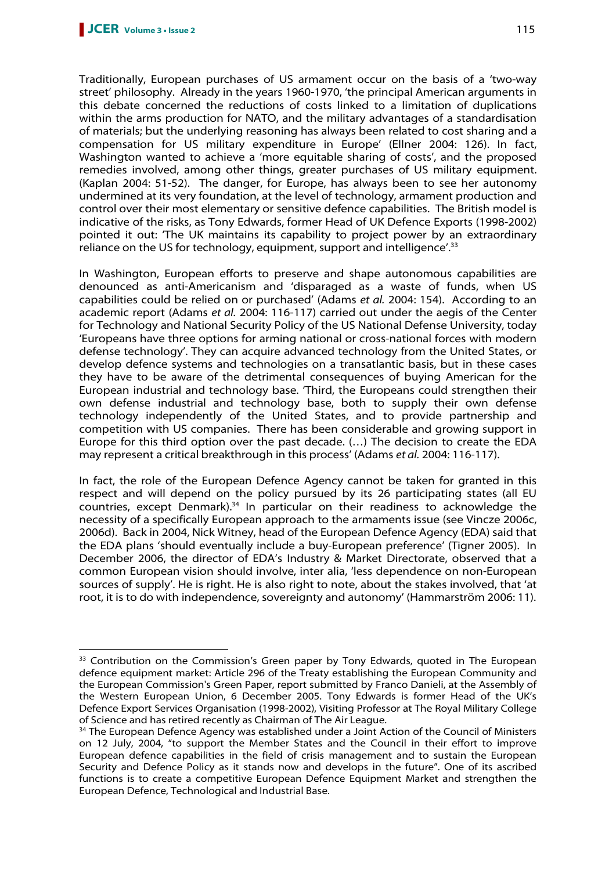$\overline{a}$ 

Traditionally, European purchases of US armament occur on the basis of a 'two-way street' philosophy. Already in the years 1960-1970, 'the principal American arguments in this debate concerned the reductions of costs linked to a limitation of duplications within the arms production for NATO, and the military advantages of a standardisation of materials; but the underlying reasoning has always been related to cost sharing and a compensation for US military expenditure in Europe' (Ellner 2004: 126). In fact, Washington wanted to achieve a 'more equitable sharing of costs', and the proposed remedies involved, among other things, greater purchases of US military equipment. (Kaplan 2004: 51-52). The danger, for Europe, has always been to see her autonomy undermined at its very foundation, at the level of technology, armament production and control over their most elementary or sensitive defence capabilities. The British model is indicative of the risks, as Tony Edwards, former Head of UK Defence Exports (1998-2002) pointed it out: 'The UK maintains its capability to project power by an extraordinary reliance on the US for technology, equipment, support and intelligence<sup>'</sup>.<sup>33</sup>

In Washington, European efforts to preserve and shape autonomous capabilities are denounced as anti-Americanism and 'disparaged as a waste of funds, when US capabilities could be relied on or purchased' (Adams et al. 2004: 154). According to an academic report (Adams et al. 2004: 116-117) carried out under the aegis of the Center for Technology and National Security Policy of the US National Defense University, today 'Europeans have three options for arming national or cross-national forces with modern defense technology'. They can acquire advanced technology from the United States, or develop defence systems and technologies on a transatlantic basis, but in these cases they have to be aware of the detrimental consequences of buying American for the European industrial and technology base. 'Third, the Europeans could strengthen their own defense industrial and technology base, both to supply their own defense technology independently of the United States, and to provide partnership and competition with US companies. There has been considerable and growing support in Europe for this third option over the past decade. (…) The decision to create the EDA may represent a critical breakthrough in this process' (Adams et al. 2004: 116-117).

In fact, the role of the European Defence Agency cannot be taken for granted in this respect and will depend on the policy pursued by its 26 participating states (all EU countries, except Denmark). $34$  In particular on their readiness to acknowledge the necessity of a specifically European approach to the armaments issue (see Vincze 2006c, 2006d). Back in 2004, Nick Witney, head of the European Defence Agency (EDA) said that the EDA plans 'should eventually include a buy-European preference' (Tigner 2005). In December 2006, the director of EDA's Industry & Market Directorate, observed that a common European vision should involve, inter alia, 'less dependence on non-European sources of supply'. He is right. He is also right to note, about the stakes involved, that 'at root, it is to do with independence, sovereignty and autonomy' (Hammarström 2006: 11).

<sup>&</sup>lt;sup>33</sup> Contribution on the Commission's Green paper by Tony Edwards, quoted in The European defence equipment market: Article 296 of the Treaty establishing the European Community and the European Commission's Green Paper, report submitted by Franco Danieli, at the Assembly of the Western European Union, 6 December 2005. Tony Edwards is former Head of the UK's Defence Export Services Organisation (1998-2002), Visiting Professor at The Royal Military College of Science and has retired recently as Chairman of The Air League.

<sup>&</sup>lt;sup>34</sup> The European Defence Agency was established under a Joint Action of the Council of Ministers on 12 July, 2004, "to support the Member States and the Council in their effort to improve European defence capabilities in the field of crisis management and to sustain the European Security and Defence Policy as it stands now and develops in the future". One of its ascribed functions is to create a competitive European Defence Equipment Market and strengthen the European Defence, Technological and Industrial Base.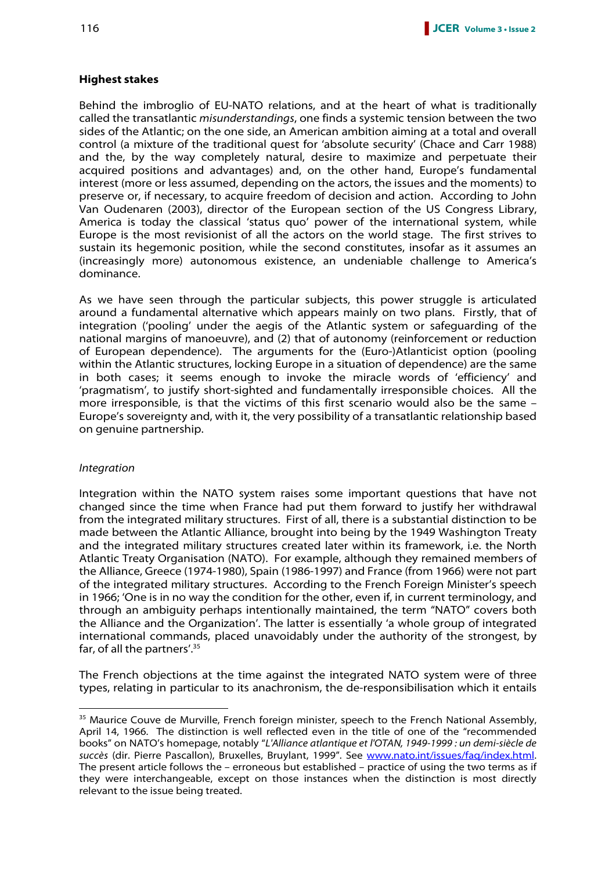#### **Highest stakes**

Behind the imbroglio of EU-NATO relations, and at the heart of what is traditionally called the transatlantic misunderstandings, one finds a systemic tension between the two sides of the Atlantic; on the one side, an American ambition aiming at a total and overall control (a mixture of the traditional quest for 'absolute security' (Chace and Carr 1988) and the, by the way completely natural, desire to maximize and perpetuate their acquired positions and advantages) and, on the other hand, Europe's fundamental interest (more or less assumed, depending on the actors, the issues and the moments) to preserve or, if necessary, to acquire freedom of decision and action. According to John Van Oudenaren (2003), director of the European section of the US Congress Library, America is today the classical 'status quo' power of the international system, while Europe is the most revisionist of all the actors on the world stage. The first strives to sustain its hegemonic position, while the second constitutes, insofar as it assumes an (increasingly more) autonomous existence, an undeniable challenge to America's dominance.

As we have seen through the particular subjects, this power struggle is articulated around a fundamental alternative which appears mainly on two plans. Firstly, that of integration ('pooling' under the aegis of the Atlantic system or safeguarding of the national margins of manoeuvre), and (2) that of autonomy (reinforcement or reduction of European dependence). The arguments for the (Euro-)Atlanticist option (pooling within the Atlantic structures, locking Europe in a situation of dependence) are the same in both cases; it seems enough to invoke the miracle words of 'efficiency' and 'pragmatism', to justify short-sighted and fundamentally irresponsible choices. All the more irresponsible, is that the victims of this first scenario would also be the same – Europe's sovereignty and, with it, the very possibility of a transatlantic relationship based on genuine partnership.

#### Integration

 $\overline{a}$ 

Integration within the NATO system raises some important questions that have not changed since the time when France had put them forward to justify her withdrawal from the integrated military structures. First of all, there is a substantial distinction to be made between the Atlantic Alliance, brought into being by the 1949 Washington Treaty and the integrated military structures created later within its framework, i.e. the North Atlantic Treaty Organisation (NATO). For example, although they remained members of the Alliance, Greece (1974-1980), Spain (1986-1997) and France (from 1966) were not part of the integrated military structures. According to the French Foreign Minister's speech in 1966; 'One is in no way the condition for the other, even if, in current terminology, and through an ambiguity perhaps intentionally maintained, the term "NATO" covers both the Alliance and the Organization'. The latter is essentially 'a whole group of integrated international commands, placed unavoidably under the authority of the strongest, by far, of all the partners'. $35$ 

The French objections at the time against the integrated NATO system were of three types, relating in particular to its anachronism, the de-responsibilisation which it entails

<sup>&</sup>lt;sup>35</sup> Maurice Couve de Murville, French foreign minister, speech to the French National Assembly, April 14, 1966. The distinction is well reflected even in the title of one of the "recommended books" on NATO's homepage, notably "L'Alliance atlantique et l'OTAN, 1949-1999 : un demi-siècle de succès (dir. Pierre Pascallon), Bruxelles, Bruylant, 1999". See www.nato.int/issues/faq/index.html. The present article follows the – erroneous but established – practice of using the two terms as if they were interchangeable, except on those instances when the distinction is most directly relevant to the issue being treated.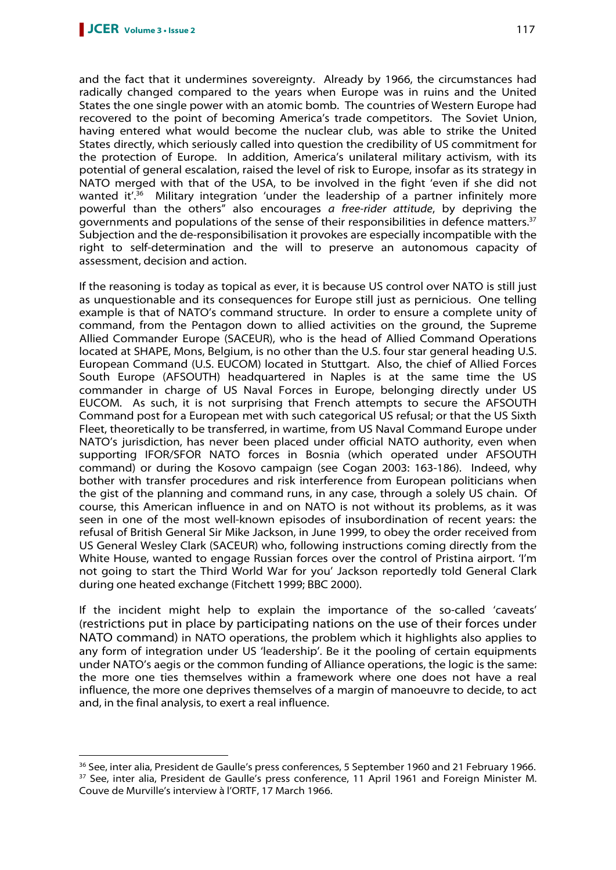$\overline{a}$ 

and the fact that it undermines sovereignty. Already by 1966, the circumstances had radically changed compared to the years when Europe was in ruins and the United States the one single power with an atomic bomb. The countries of Western Europe had recovered to the point of becoming America's trade competitors. The Soviet Union, having entered what would become the nuclear club, was able to strike the United States directly, which seriously called into question the credibility of US commitment for the protection of Europe. In addition, America's unilateral military activism, with its potential of general escalation, raised the level of risk to Europe, insofar as its strategy in NATO merged with that of the USA, to be involved in the fight 'even if she did not wanted it<sup>',36</sup> Military integration 'under the leadership of a partner infinitely more powerful than the others" also encourages a free-rider attitude, by depriving the governments and populations of the sense of their responsibilities in defence matters.<sup>37</sup> Subjection and the de-responsibilisation it provokes are especially incompatible with the right to self-determination and the will to preserve an autonomous capacity of assessment, decision and action.

If the reasoning is today as topical as ever, it is because US control over NATO is still just as unquestionable and its consequences for Europe still just as pernicious. One telling example is that of NATO's command structure. In order to ensure a complete unity of command, from the Pentagon down to allied activities on the ground, the Supreme Allied Commander Europe (SACEUR), who is the head of Allied Command Operations located at SHAPE, Mons, Belgium, is no other than the U.S. four star general heading U.S. European Command (U.S. EUCOM) located in Stuttgart. Also, the chief of Allied Forces South Europe (AFSOUTH) headquartered in Naples is at the same time the US commander in charge of US Naval Forces in Europe, belonging directly under US EUCOM. As such, it is not surprising that French attempts to secure the AFSOUTH Command post for a European met with such categorical US refusal; or that the US Sixth Fleet, theoretically to be transferred, in wartime, from US Naval Command Europe under NATO's jurisdiction, has never been placed under official NATO authority, even when supporting IFOR/SFOR NATO forces in Bosnia (which operated under AFSOUTH command) or during the Kosovo campaign (see Cogan 2003: 163-186). Indeed, why bother with transfer procedures and risk interference from European politicians when the gist of the planning and command runs, in any case, through a solely US chain. Of course, this American influence in and on NATO is not without its problems, as it was seen in one of the most well-known episodes of insubordination of recent years: the refusal of British General Sir Mike Jackson, in June 1999, to obey the order received from US General Wesley Clark (SACEUR) who, following instructions coming directly from the White House, wanted to engage Russian forces over the control of Pristina airport. 'I'm not going to start the Third World War for you' Jackson reportedly told General Clark during one heated exchange (Fitchett 1999; BBC 2000).

If the incident might help to explain the importance of the so-called 'caveats' (restrictions put in place by participating nations on the use of their forces under NATO command) in NATO operations, the problem which it highlights also applies to any form of integration under US 'leadership'. Be it the pooling of certain equipments under NATO's aegis or the common funding of Alliance operations, the logic is the same: the more one ties themselves within a framework where one does not have a real influence, the more one deprives themselves of a margin of manoeuvre to decide, to act and, in the final analysis, to exert a real influence.

<sup>&</sup>lt;sup>36</sup> See, inter alia, President de Gaulle's press conferences, 5 September 1960 and 21 February 1966. <sup>37</sup> See, inter alia, President de Gaulle's press conference, 11 April 1961 and Foreign Minister M. Couve de Murville's interview à l'ORTF, 17 March 1966.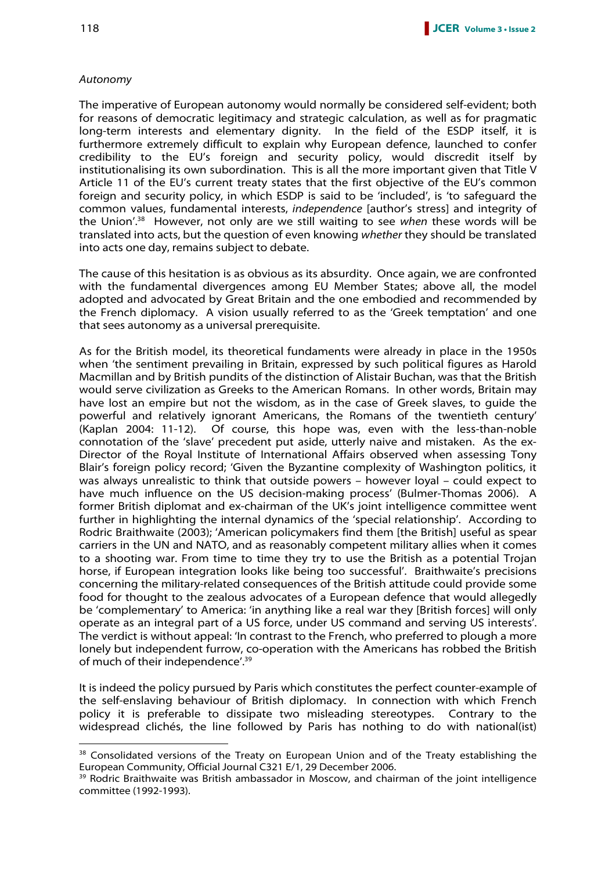#### Autonomy

The imperative of European autonomy would normally be considered self-evident; both for reasons of democratic legitimacy and strategic calculation, as well as for pragmatic long-term interests and elementary dignity. In the field of the ESDP itself, it is furthermore extremely difficult to explain why European defence, launched to confer credibility to the EU's foreign and security policy, would discredit itself by institutionalising its own subordination. This is all the more important given that Title V Article 11 of the EU's current treaty states that the first objective of the EU's common foreign and security policy, in which ESDP is said to be 'included', is 'to safeguard the common values, fundamental interests, independence [author's stress] and integrity of the Union'.<sup>38</sup> However, not only are we still waiting to see when these words will be translated into acts, but the question of even knowing whether they should be translated into acts one day, remains subject to debate.

The cause of this hesitation is as obvious as its absurdity. Once again, we are confronted with the fundamental divergences among EU Member States; above all, the model adopted and advocated by Great Britain and the one embodied and recommended by the French diplomacy. A vision usually referred to as the 'Greek temptation' and one that sees autonomy as a universal prerequisite.

As for the British model, its theoretical fundaments were already in place in the 1950s when 'the sentiment prevailing in Britain, expressed by such political figures as Harold Macmillan and by British pundits of the distinction of Alistair Buchan, was that the British would serve civilization as Greeks to the American Romans. In other words, Britain may have lost an empire but not the wisdom, as in the case of Greek slaves, to guide the powerful and relatively ignorant Americans, the Romans of the twentieth century' (Kaplan 2004: 11-12). Of course, this hope was, even with the less-than-noble connotation of the 'slave' precedent put aside, utterly naive and mistaken. As the ex-Director of the Royal Institute of International Affairs observed when assessing Tony Blair's foreign policy record; 'Given the Byzantine complexity of Washington politics, it was always unrealistic to think that outside powers – however loyal – could expect to have much influence on the US decision-making process' (Bulmer-Thomas 2006). A former British diplomat and ex-chairman of the UK's joint intelligence committee went further in highlighting the internal dynamics of the 'special relationship'. According to Rodric Braithwaite (2003); 'American policymakers find them [the British] useful as spear carriers in the UN and NATO, and as reasonably competent military allies when it comes to a shooting war. From time to time they try to use the British as a potential Trojan horse, if European integration looks like being too successful'. Braithwaite's precisions concerning the military-related consequences of the British attitude could provide some food for thought to the zealous advocates of a European defence that would allegedly be 'complementary' to America: 'in anything like a real war they [British forces] will only operate as an integral part of a US force, under US command and serving US interests'. The verdict is without appeal: 'In contrast to the French, who preferred to plough a more lonely but independent furrow, co-operation with the Americans has robbed the British of much of their independence'.<sup>39</sup>

It is indeed the policy pursued by Paris which constitutes the perfect counter-example of the self-enslaving behaviour of British diplomacy. In connection with which French policy it is preferable to dissipate two misleading stereotypes. Contrary to the widespread clichés, the line followed by Paris has nothing to do with national(ist)

<sup>&</sup>lt;sup>38</sup> Consolidated versions of the Treaty on European Union and of the Treaty establishing the European Community, Official Journal C321 E/1, 29 December 2006.

<sup>&</sup>lt;sup>39</sup> Rodric Braithwaite was British ambassador in Moscow, and chairman of the joint intelligence committee (1992-1993).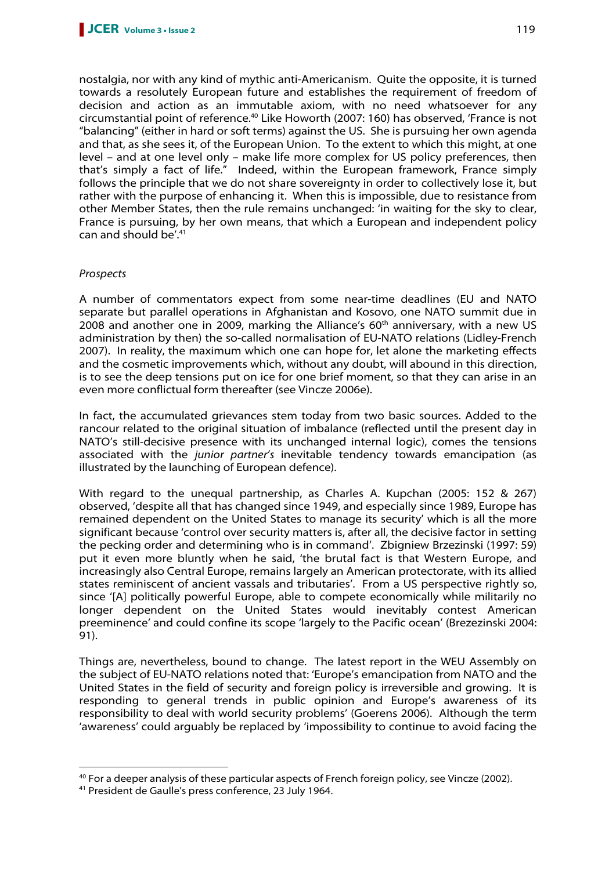nostalgia, nor with any kind of mythic anti-Americanism. Quite the opposite, it is turned towards a resolutely European future and establishes the requirement of freedom of decision and action as an immutable axiom, with no need whatsoever for any circumstantial point of reference.<sup>40</sup> Like Howorth (2007: 160) has observed, 'France is not "balancing" (either in hard or soft terms) against the US. She is pursuing her own agenda and that, as she sees it, of the European Union. To the extent to which this might, at one level – and at one level only – make life more complex for US policy preferences, then that's simply a fact of life." Indeed, within the European framework, France simply follows the principle that we do not share sovereignty in order to collectively lose it, but rather with the purpose of enhancing it. When this is impossible, due to resistance from other Member States, then the rule remains unchanged: 'in waiting for the sky to clear, France is pursuing, by her own means, that which a European and independent policy can and should be'.<sup>41</sup>

# Prospects

 $\overline{a}$ 

A number of commentators expect from some near-time deadlines (EU and NATO separate but parallel operations in Afghanistan and Kosovo, one NATO summit due in 2008 and another one in 2009, marking the Alliance's  $60<sup>th</sup>$  anniversary, with a new US administration by then) the so-called normalisation of EU-NATO relations (Lidley-French 2007). In reality, the maximum which one can hope for, let alone the marketing effects and the cosmetic improvements which, without any doubt, will abound in this direction, is to see the deep tensions put on ice for one brief moment, so that they can arise in an even more conflictual form thereafter (see Vincze 2006e).

In fact, the accumulated grievances stem today from two basic sources. Added to the rancour related to the original situation of imbalance (reflected until the present day in NATO's still-decisive presence with its unchanged internal logic), comes the tensions associated with the junior partner's inevitable tendency towards emancipation (as illustrated by the launching of European defence).

With regard to the unequal partnership, as Charles A. Kupchan (2005: 152 & 267) observed, 'despite all that has changed since 1949, and especially since 1989, Europe has remained dependent on the United States to manage its security' which is all the more significant because 'control over security matters is, after all, the decisive factor in setting the pecking order and determining who is in command'. Zbigniew Brzezinski (1997: 59) put it even more bluntly when he said, 'the brutal fact is that Western Europe, and increasingly also Central Europe, remains largely an American protectorate, with its allied states reminiscent of ancient vassals and tributaries'. From a US perspective rightly so, since '[A] politically powerful Europe, able to compete economically while militarily no longer dependent on the United States would inevitably contest American preeminence' and could confine its scope 'largely to the Pacific ocean' (Brezezinski 2004: 91).

Things are, nevertheless, bound to change. The latest report in the WEU Assembly on the subject of EU-NATO relations noted that: 'Europe's emancipation from NATO and the United States in the field of security and foreign policy is irreversible and growing. It is responding to general trends in public opinion and Europe's awareness of its responsibility to deal with world security problems' (Goerens 2006). Although the term 'awareness' could arguably be replaced by 'impossibility to continue to avoid facing the

<sup>40</sup> For a deeper analysis of these particular aspects of French foreign policy, see Vincze (2002).

<sup>41</sup> President de Gaulle's press conference, 23 July 1964.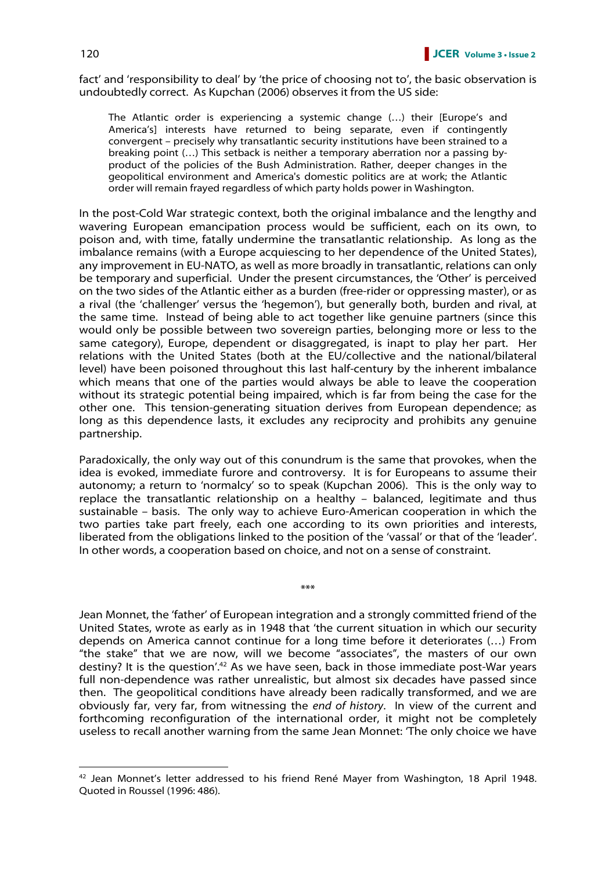fact' and 'responsibility to deal' by 'the price of choosing not to', the basic observation is undoubtedly correct. As Kupchan (2006) observes it from the US side:

The Atlantic order is experiencing a systemic change (…) their [Europe's and America's] interests have returned to being separate, even if contingently convergent – precisely why transatlantic security institutions have been strained to a breaking point (…) This setback is neither a temporary aberration nor a passing byproduct of the policies of the Bush Administration. Rather, deeper changes in the geopolitical environment and America's domestic politics are at work; the Atlantic order will remain frayed regardless of which party holds power in Washington.

In the post-Cold War strategic context, both the original imbalance and the lengthy and wavering European emancipation process would be sufficient, each on its own, to poison and, with time, fatally undermine the transatlantic relationship. As long as the imbalance remains (with a Europe acquiescing to her dependence of the United States), any improvement in EU-NATO, as well as more broadly in transatlantic, relations can only be temporary and superficial. Under the present circumstances, the 'Other' is perceived on the two sides of the Atlantic either as a burden (free-rider or oppressing master), or as a rival (the 'challenger' versus the 'hegemon'), but generally both, burden and rival, at the same time. Instead of being able to act together like genuine partners (since this would only be possible between two sovereign parties, belonging more or less to the same category), Europe, dependent or disaggregated, is inapt to play her part. Her relations with the United States (both at the EU/collective and the national/bilateral level) have been poisoned throughout this last half-century by the inherent imbalance which means that one of the parties would always be able to leave the cooperation without its strategic potential being impaired, which is far from being the case for the other one. This tension-generating situation derives from European dependence; as long as this dependence lasts, it excludes any reciprocity and prohibits any genuine partnership.

Paradoxically, the only way out of this conundrum is the same that provokes, when the idea is evoked, immediate furore and controversy. It is for Europeans to assume their autonomy; a return to 'normalcy' so to speak (Kupchan 2006). This is the only way to replace the transatlantic relationship on a healthy – balanced, legitimate and thus sustainable – basis. The only way to achieve Euro-American cooperation in which the two parties take part freely, each one according to its own priorities and interests, liberated from the obligations linked to the position of the 'vassal' or that of the 'leader'. In other words, a cooperation based on choice, and not on a sense of constraint.

\*\*\*

Jean Monnet, the 'father' of European integration and a strongly committed friend of the United States, wrote as early as in 1948 that 'the current situation in which our security depends on America cannot continue for a long time before it deteriorates (…) From "the stake" that we are now, will we become "associates", the masters of our own destiny? It is the question'.<sup>42</sup> As we have seen, back in those immediate post-War years full non-dependence was rather unrealistic, but almost six decades have passed since then. The geopolitical conditions have already been radically transformed, and we are obviously far, very far, from witnessing the end of history. In view of the current and forthcoming reconfiguration of the international order, it might not be completely useless to recall another warning from the same Jean Monnet: 'The only choice we have

<sup>&</sup>lt;sup>42</sup> Jean Monnet's letter addressed to his friend René Mayer from Washington, 18 April 1948. Quoted in Roussel (1996: 486).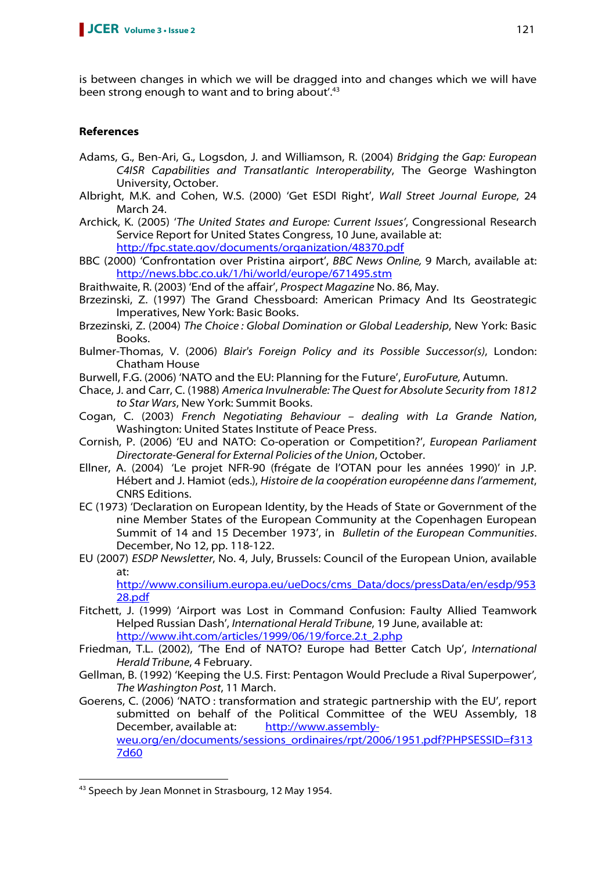is between changes in which we will be dragged into and changes which we will have been strong enough to want and to bring about'.<sup>43</sup>

# **References**

- Adams, G., Ben-Ari, G., Logsdon, J. and Williamson, R. (2004) Bridging the Gap: European C4ISR Capabilities and Transatlantic Interoperability, The George Washington University, October.
- Albright, M.K. and Cohen, W.S. (2000) 'Get ESDI Right', Wall Street Journal Europe, 24 March 24.
- Archick, K. (2005) 'The United States and Europe: Current Issues', Congressional Research Service Report for United States Congress, 10 June, available at: http://fpc.state.gov/documents/organization/48370.pdf
- BBC (2000) 'Confrontation over Pristina airport', BBC News Online, 9 March, available at: http://news.bbc.co.uk/1/hi/world/europe/671495.stm

Braithwaite, R. (2003) 'End of the affair', Prospect Magazine No. 86, May.

- Brzezinski, Z. (1997) The Grand Chessboard: American Primacy And Its Geostrategic Imperatives, New York: Basic Books.
- Brzezinski, Z. (2004) The Choice : Global Domination or Global Leadership, New York: Basic Books.
- Bulmer-Thomas, V. (2006) Blair's Foreign Policy and its Possible Successor(s), London: Chatham House
- Burwell, F.G. (2006) 'NATO and the EU: Planning for the Future', EuroFuture, Autumn.
- Chace, J. and Carr, C. (1988) America Invulnerable: The Quest for Absolute Security from 1812 to Star Wars, New York: Summit Books.
- Cogan, C. (2003) French Negotiating Behaviour dealing with La Grande Nation, Washington: United States Institute of Peace Press.
- Cornish, P. (2006) 'EU and NATO: Co-operation or Competition?', European Parliament Directorate-General for External Policies of the Union, October.
- Ellner, A. (2004) 'Le projet NFR-90 (frégate de l'OTAN pour les années 1990)' in J.P. Hébert and J. Hamiot (eds.), Histoire de la coopération européenne dans l'armement, CNRS Editions.
- EC (1973) 'Declaration on European Identity, by the Heads of State or Government of the nine Member States of the European Community at the Copenhagen European Summit of 14 and 15 December 1973', in Bulletin of the European Communities. December, No 12, pp. 118-122.
- EU (2007) ESDP Newsletter, No. 4, July, Brussels: Council of the European Union, available at:

http://www.consilium.europa.eu/ueDocs/cms\_Data/docs/pressData/en/esdp/953 28.pdf

- Fitchett, J. (1999) 'Airport was Lost in Command Confusion: Faulty Allied Teamwork Helped Russian Dash', International Herald Tribune, 19 June, available at: http://www.iht.com/articles/1999/06/19/force.2.t\_2.php
- Friedman, T.L. (2002), 'The End of NATO? Europe had Better Catch Up', International Herald Tribune, 4 February.
- Gellman, B. (1992) 'Keeping the U.S. First: Pentagon Would Preclude a Rival Superpower', The Washington Post, 11 March.
- Goerens, C. (2006) 'NATO : transformation and strategic partnership with the EU', report submitted on behalf of the Political Committee of the WEU Assembly, 18 December, available at: http://www.assemblyweu.org/en/documents/sessions\_ordinaires/rpt/2006/1951.pdf?PHPSESSID=f313 7d60

<sup>&</sup>lt;sup>43</sup> Speech by Jean Monnet in Strasbourg, 12 May 1954.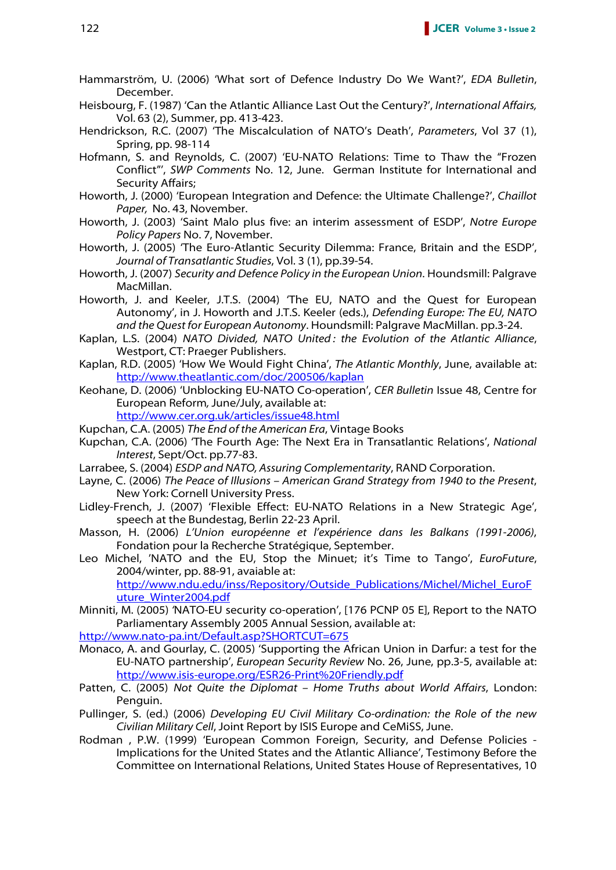- Hammarström, U. (2006) 'What sort of Defence Industry Do We Want?', EDA Bulletin, December.
- Heisbourg, F. (1987) 'Can the Atlantic Alliance Last Out the Century?', International Affairs, Vol. 63 (2), Summer, pp. 413-423.
- Hendrickson, R.C. (2007) 'The Miscalculation of NATO's Death', Parameters, Vol 37 (1), Spring, pp. 98-114
- Hofmann, S. and Reynolds, C. (2007) 'EU-NATO Relations: Time to Thaw the "Frozen Conflict"', SWP Comments No. 12, June. German Institute for International and Security Affairs;
- Howorth, J. (2000) 'European Integration and Defence: the Ultimate Challenge?', Chaillot Paper, No. 43, November.
- Howorth, J. (2003) 'Saint Malo plus five: an interim assessment of ESDP', Notre Europe Policy Papers No. 7, November.
- Howorth, J. (2005) 'The Euro-Atlantic Security Dilemma: France, Britain and the ESDP', Journal of Transatlantic Studies, Vol. 3 (1), pp.39-54.
- Howorth, J. (2007) Security and Defence Policy in the European Union. Houndsmill: Palgrave MacMillan.
- Howorth, J. and Keeler, J.T.S. (2004) 'The EU, NATO and the Quest for European Autonomy', in J. Howorth and J.T.S. Keeler (eds.), Defending Europe: The EU, NATO and the Quest for European Autonomy. Houndsmill: Palgrave MacMillan. pp.3-24.
- Kaplan, L.S. (2004) NATO Divided, NATO United : the Evolution of the Atlantic Alliance, Westport, CT: Praeger Publishers.
- Kaplan, R.D. (2005) 'How We Would Fight China', The Atlantic Monthly, June, available at: http://www.theatlantic.com/doc/200506/kaplan
- Keohane, D. (2006) 'Unblocking EU-NATO Co-operation', CER Bulletin Issue 48, Centre for European Reform, June/July, available at:

http://www.cer.org.uk/articles/issue48.html

- Kupchan, C.A. (2005) The End of the American Era, Vintage Books
- Kupchan, C.A. (2006) 'The Fourth Age: The Next Era in Transatlantic Relations', National Interest, Sept/Oct. pp.77-83.
- Larrabee, S. (2004) ESDP and NATO, Assuring Complementarity, RAND Corporation.
- Layne, C. (2006) The Peace of Illusions American Grand Strategy from 1940 to the Present, New York: Cornell University Press.
- Lidley-French, J. (2007) 'Flexible Effect: EU-NATO Relations in a New Strategic Age', speech at the Bundestag, Berlin 22-23 April.
- Masson, H. (2006) L'Union européenne et l'expérience dans les Balkans (1991-2006), Fondation pour la Recherche Stratégique, September.
- Leo Michel, 'NATO and the EU, Stop the Minuet; it's Time to Tango', EuroFuture, 2004/winter, pp. 88-91, avaiable at: http://www.ndu.edu/inss/Repository/Outside\_Publications/Michel/Michel\_EuroF uture\_Winter2004.pdf
- Minniti, M. (2005) 'NATO-EU security co-operation', [176 PCNP 05 E], Report to the NATO Parliamentary Assembly 2005 Annual Session, available at:

http://www.nato-pa.int/Default.asp?SHORTCUT=675

- Monaco, A. and Gourlay, C. (2005) 'Supporting the African Union in Darfur: a test for the EU-NATO partnership', European Security Review No. 26, June, pp.3-5, available at: http://www.isis-europe.org/ESR26-Print%20Friendly.pdf
- Patten, C. (2005) Not Quite the Diplomat Home Truths about World Affairs, London: Penguin.
- Pullinger, S. (ed.) (2006) Developing EU Civil Military Co-ordination: the Role of the new Civilian Military Cell, Joint Report by ISIS Europe and CeMiSS, June.
- Rodman , P.W. (1999) 'European Common Foreign, Security, and Defense Policies Implications for the United States and the Atlantic Alliance', Testimony Before the Committee on International Relations, United States House of Representatives, 10